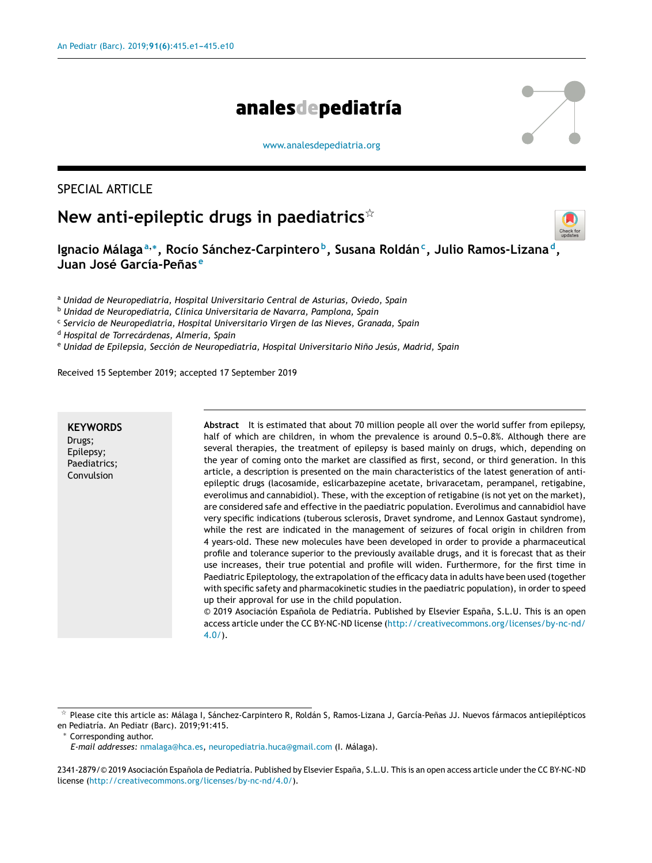# analesdepediatría

[www.analesdepediatria.org](http://www.analesdepediatria.org)

# SPECIAL ARTICLE

# **New anti-epileptic drugs in paediatrics**-



**Ignacio Málaga<sup>a</sup>**,<sup>∗</sup> **, Rocío Sánchez-Carpintero <sup>b</sup> , Susana Roldán<sup>c</sup> , Julio Ramos-Lizana <sup>d</sup> , Juan José García-Penas ˜ e**

<sup>a</sup> *Unidad de Neuropediatría, Hospital Universitario Central de Asturias, Oviedo, Spain*

<sup>b</sup> *Unidad de Neuropediatría, Clínica Universitaria de Navarra, Pamplona, Spain*

c *Servicio de Neuropediatría, Hospital Universitario Virgen de las Nieves, Granada, Spain*

<sup>d</sup> *Hospital de Torrecárdenas, Almería, Spain*

<sup>e</sup> *Unidad de Epilepsia, Sección de Neuropediatría, Hospital Universitario Nino˜ Jesús, Madrid, Spain*

Received 15 September 2019; accepted 17 September 2019

# **KEYWORDS**

Drugs; Epilepsy; Paediatrics; Convulsion

**Abstract** It is estimated that about 70 million people all over the world suffer from epilepsy, half of which are children, in whom the prevalence is around  $0.5-0.8%$ . Although there are several therapies, the treatment of epilepsy is based mainly on drugs, which, depending on the year of coming onto the market are classified as first, second, or third generation. In this article, a description is presented on the main characteristics of the latest generation of antiepileptic drugs (lacosamide, eslicarbazepine acetate, brivaracetam, perampanel, retigabine, everolimus and cannabidiol). These, with the exception of retigabine (is not yet on the market), are considered safe and effective in the paediatric population. Everolimus and cannabidiol have very specific indications (tuberous sclerosis, Dravet syndrome, and Lennox Gastaut syndrome), while the rest are indicated in the management of seizures of focal origin in children from 4 years-old. These new molecules have been developed in order to provide a pharmaceutical profile and tolerance superior to the previously available drugs, and it is forecast that as their use increases, their true potential and profile will widen. Furthermore, for the first time in Paediatric Epileptology, the extrapolation of the efficacy data in adults have been used (together with specific safety and pharmacokinetic studies in the paediatric population), in order to speed up their approval for use in the child population.

© 2019 Asociación Española de Pediatría. Published by Elsevier España, S.L.U. This is an open access article under the CC BY-NC-ND license ([http://creativecommons.org/licenses/by-nc-nd/](http://creativecommons.org/licenses/by-nc-nd/4.0/) [4.0/](http://creativecommons.org/licenses/by-nc-nd/4.0/)).

Corresponding author.

 $\frac{1}{24}$ Please cite this article as: Málaga I, Sánchez-Carpintero R, Roldán S, Ramos-Lizana J, García-Peñas JJ. Nuevos fármacos antiepilépticos en Pediatría. An Pediatr (Barc). 2019;91:415.

*E-mail addresses:* [nmalaga@hca.es](mailto:nmalaga@hca.es), [neuropediatria.huca@gmail.com](mailto:neuropediatria.huca@gmail.com) (I. Málaga).

<sup>2341-2879/© 2019</sup> Asociación Española de Pediatría. Published by Elsevier España, S.L.U. This is an open access article under the CC BY-NC-ND license (<http://creativecommons.org/licenses/by-nc-nd/4.0/>).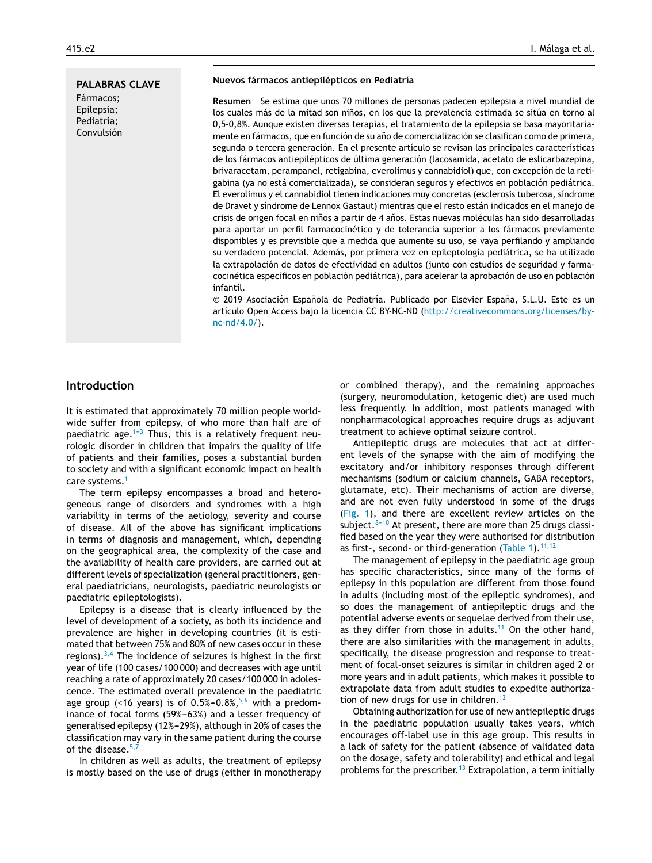## **PALABRAS CLAVE**

Fármacos; Epilepsia; Pediatría; Convulsión

#### **Nuevos fármacos antiepilépticos en Pediatría**

**Resumen** Se estima que unos 70 millones de personas padecen epilepsia a nivel mundial de los cuales más de la mitad son niños, en los que la prevalencia estimada se sitúa en torno al 0,5-0,8%. Aunque existen diversas terapias, el tratamiento de la epilepsia se basa mayoritariamente en fármacos, que en función de su año de comercialización se clasifican como de primera, segunda o tercera generación. En el presente artículo se revisan las principales características de los fármacos antiepilépticos de última generación (lacosamida, acetato de eslicarbazepina, brivaracetam, perampanel, retigabina, everolimus y cannabidiol) que, con excepción de la retigabina (ya no está comercializada), se consideran seguros y efectivos en población pediátrica. El everolimus y el cannabidiol tienen indicaciones muy concretas (esclerosis tuberosa, síndrome de Dravet y síndrome de Lennox Gastaut) mientras que el resto están indicados en el manejo de crisis de origen focal en niños a partir de 4 años. Estas nuevas moléculas han sido desarrolladas para aportar un perfil farmacocinético y de tolerancia superior a los fármacos previamente disponibles y es previsible que a medida que aumente su uso, se vaya perfilando y ampliando su verdadero potencial. Además, por primera vez en epileptología pediátrica, se ha utilizado la extrapolación de datos de efectividad en adultos (junto con estudios de seguridad y farmacocinética específicos en población pediátrica), para acelerar la aprobación de uso en población infantil.

© 2019 Asociación Española de Pediatría. Publicado por Elsevier España, S.L.U. Este es un artículo Open Access bajo la licencia CC BY-NC-ND ([http://creativecommons.org/licenses/by](http://creativecommons.org/licenses/by-nc-nd/4.0/)[nc-nd/4.0/\)](http://creativecommons.org/licenses/by-nc-nd/4.0/).

# **Introduction**

It is estimated that approximately 70 million people worldwide suffer from epilepsy, of who more than half are of paediatric age.<sup>1-3</sup> Thus, this is a relatively frequent neurologic disorder in children that impairs the quality of life of patients and their families, poses a substantial burden to society and with a significant economic impact on health care systems.[1](#page-8-0)

The term epilepsy encompasses a broad and heterogeneous range of disorders and syndromes with a high variability in terms of the aetiology, severity and course of disease. All of the above has significant implications in terms of diagnosis and management, which, depending on the geographical area, the complexity of the case and the availability of health care providers, are carried out at different levels of specialization (general practitioners, general paediatricians, neurologists, paediatric neurologists or paediatric epileptologists).

Epilepsy is a disease that is clearly influenced by the level of development of a society, as both its incidence and prevalence are higher in developing countries (it is estimated that between 75% and 80% of new cases occur in these regions). $3,4$  The incidence of seizures is highest in the first year of life (100 cases/100 000) and decreases with age until reaching a rate of approximately 20 cases/100 000 in adolescence. The estimated overall prevalence in the paediatric age group (<16 years) is of  $0.5\%$ -0.8%,  $5.6$  with a predominance of focal forms (59%-63%) and a lesser frequency of generalised epilepsy (12%-29%), although in 20% of cases the classification may vary in the same patient during the course of the disease.  $5,7$ 

In children as well as adults, the treatment of epilepsy is mostly based on the use of drugs (either in monotherapy or combined therapy), and the remaining approaches (surgery, neuromodulation, ketogenic diet) are used much less frequently. In addition, most patients managed with nonpharmacological approaches require drugs as adjuvant treatment to achieve optimal seizure control.

Antiepileptic drugs are molecules that act at different levels of the synapse with the aim of modifying the excitatory and/or inhibitory responses through different mechanisms (sodium or calcium channels, GABA receptors, glutamate, etc). Their mechanisms of action are diverse, and are not even fully understood in some of the drugs [\(Fig.](#page-2-0) 1), and there are excellent review articles on the subject. $8-10$  At present, there are more than 25 drugs classified based on the year they were authorised for distribution as first-, second- or third-generation ([Table](#page-3-0) 1).  $11,12$ 

The management of epilepsy in the paediatric age group has specific characteristics, since many of the forms of epilepsy in this population are different from those found in adults (including most of the epileptic syndromes), and so does the management of antiepileptic drugs and the potential adverse events or sequelae derived from their use, as they differ from those in adults.<sup>[11](#page-8-0)</sup> On the other hand, there are also similarities with the management in adults, specifically, the disease progression and response to treatment of focal-onset seizures is similar in children aged 2 or more years and in adult patients, which makes it possible to extrapolate data from adult studies to expedite authorization of new drugs for use in children. $13$ 

Obtaining authorization for use of new antiepileptic drugs in the paediatric population usually takes years, which encourages off-label use in this age group. This results in a lack of safety for the patient (absence of validated data on the dosage, safety and tolerability) and ethical and legal problems for the prescriber.<sup>[13](#page-8-0)</sup> Extrapolation, a term initially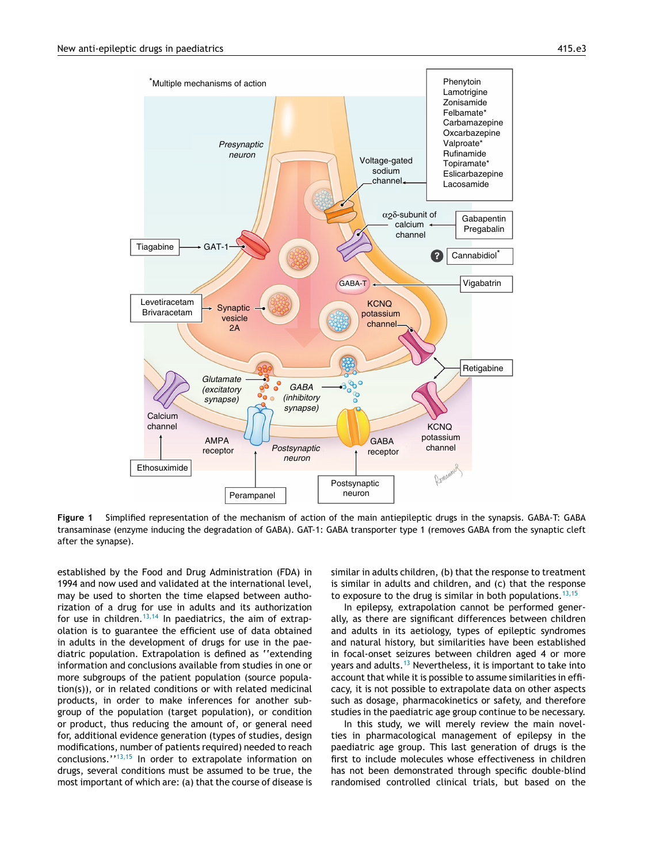<span id="page-2-0"></span>

**Figure 1** Simplified representation of the mechanism of action of the main antiepileptic drugs in the synapsis. GABA-T: GABA transaminase (enzyme inducing the degradation of GABA). GAT-1: GABA transporter type 1 (removes GABA from the synaptic cleft after the synapse).

established by the Food and Drug Administration (FDA) in 1994 and now used and validated at the international level, may be used to shorten the time elapsed between authorization of a drug for use in adults and its authorization for use in children.<sup>[13,14](#page-8-0)</sup> In paediatrics, the aim of extrapolation is to guarantee the efficient use of data obtained in adults in the development of drugs for use in the paediatric population. Extrapolation is defined as ''extending information and conclusions available from studies in one or more subgroups of the patient population (source population(s)), or in related conditions or with related medicinal products, in order to make inferences for another subgroup of the population (target population), or condition or product, thus reducing the amount of, or general need for, additional evidence generation (types of studies, design modifications, number of patients required) needed to reach conclusions.''[13,15](#page-8-0) In order to extrapolate information on drugs, several conditions must be assumed to be true, the most important of which are: (a) that the course of disease is similar in adults children, (b) that the response to treatment is similar in adults and children, and (c) that the response to exposure to the drug is similar in both populations.  $13,15$ 

In epilepsy, extrapolation cannot be performed generally, as there are significant differences between children and adults in its aetiology, types of epileptic syndromes and natural history, but similarities have been established in focal-onset seizures between children aged 4 or more years and adults.<sup>[13](#page-8-0)</sup> Nevertheless, it is important to take into account that while it is possible to assume similarities in efficacy, it is not possible to extrapolate data on other aspects such as dosage, pharmacokinetics or safety, and therefore studies in the paediatric age group continue to be necessary.

In this study, we will merely review the main novelties in pharmacological management of epilepsy in the paediatric age group. This last generation of drugs is the first to include molecules whose effectiveness in children has not been demonstrated through specific double-blind randomised controlled clinical trials, but based on the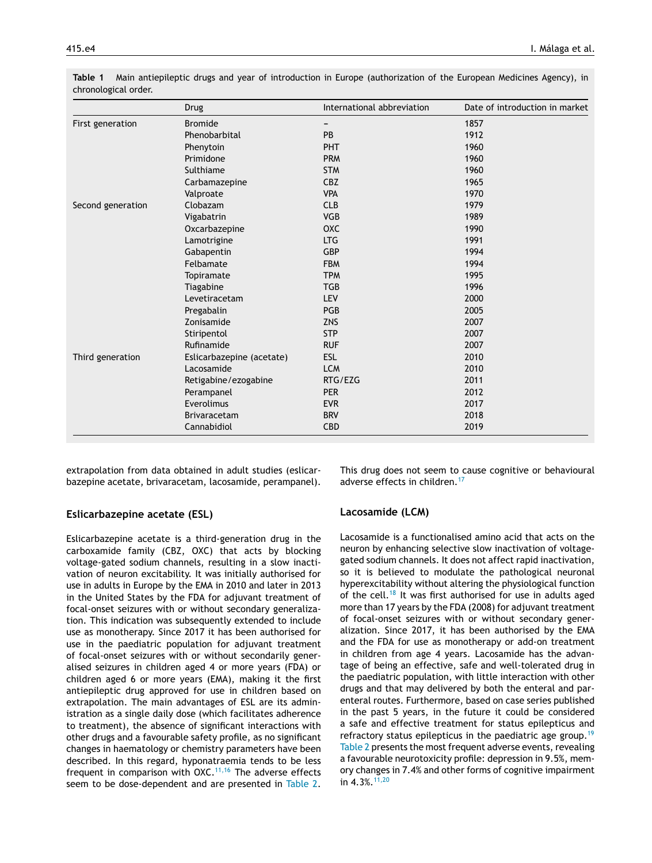|                   | Drug                      | International abbreviation | Date of introduction in market |
|-------------------|---------------------------|----------------------------|--------------------------------|
| First generation  | <b>Bromide</b>            |                            | 1857                           |
|                   | Phenobarbital             | <b>PB</b>                  | 1912                           |
|                   | Phenytoin                 | PHT                        | 1960                           |
|                   | Primidone                 | <b>PRM</b>                 | 1960                           |
|                   | Sulthiame                 | <b>STM</b>                 | 1960                           |
|                   | Carbamazepine             | <b>CBZ</b>                 | 1965                           |
|                   | Valproate                 | <b>VPA</b>                 | 1970                           |
| Second generation | Clobazam                  | <b>CLB</b>                 | 1979                           |
|                   | Vigabatrin                | <b>VGB</b>                 | 1989                           |
|                   | Oxcarbazepine             | OXC                        | 1990                           |
|                   | Lamotrigine               | <b>LTG</b>                 | 1991                           |
|                   | Gabapentin                | <b>GBP</b>                 | 1994                           |
|                   | Felbamate                 | <b>FBM</b>                 | 1994                           |
|                   | Topiramate                | <b>TPM</b>                 | 1995                           |
|                   | Tiagabine                 | <b>TGB</b>                 | 1996                           |
|                   | Levetiracetam             | <b>LEV</b>                 | 2000                           |
|                   | Pregabalin                | PGB                        | 2005                           |
|                   | Zonisamide                | <b>ZNS</b>                 | 2007                           |
|                   | Stiripentol               | <b>STP</b>                 | 2007                           |
|                   | Rufinamide                | <b>RUF</b>                 | 2007                           |
| Third generation  | Eslicarbazepine (acetate) | <b>ESL</b>                 | 2010                           |
|                   | Lacosamide                | <b>LCM</b>                 | 2010                           |
|                   | Retigabine/ezogabine      | RTG/EZG                    | 2011                           |
|                   | Perampanel                | <b>PER</b>                 | 2012                           |
|                   | Everolimus                | <b>EVR</b>                 | 2017                           |
|                   | Brivaracetam              | <b>BRV</b>                 | 2018                           |
|                   | Cannabidiol               | <b>CBD</b>                 | 2019                           |

<span id="page-3-0"></span>**Table 1** Main antiepileptic drugs and year of introduction in Europe (authorization of the European Medicines Agency), in chronological order.

extrapolation from data obtained in adult studies (eslicarbazepine acetate, brivaracetam, lacosamide, perampanel).

# **Eslicarbazepine acetate (ESL)**

Eslicarbazepine acetate is a third-generation drug in the carboxamide family (CBZ, OXC) that acts by blocking voltage-gated sodium channels, resulting in a slow inactivation of neuron excitability. It was initially authorised for use in adults in Europe by the EMA in 2010 and later in 2013 in the United States by the FDA for adjuvant treatment of focal-onset seizures with or without secondary generalization. This indication was subsequently extended to include use as monotherapy. Since 2017 it has been authorised for use in the paediatric population for adjuvant treatment of focal-onset seizures with or without secondarily generalised seizures in children aged 4 or more years (FDA) or children aged 6 or more years (EMA), making it the first antiepileptic drug approved for use in children based on extrapolation. The main advantages of ESL are its administration as a single daily dose (which facilitates adherence to treatment), the absence of significant interactions with other drugs and a favourable safety profile, as no significant changes in haematology or chemistry parameters have been described. In this regard, hyponatraemia tends to be less frequent in comparison with  $OXC.$ <sup>[11,16](#page-8-0)</sup> The adverse effects seem to be dose-dependent and are presented in [Table](#page-4-0) 2. This drug does not seem to cause cognitive or behavioural adverse effects in children.<sup>[17](#page-8-0)</sup>

# **Lacosamide (LCM)**

Lacosamide is a functionalised amino acid that acts on the neuron by enhancing selective slow inactivation of voltagegated sodium channels. It does not affect rapid inactivation, so it is believed to modulate the pathological neuronal hyperexcitability without altering the physiological function of the cell.<sup>[18](#page-8-0)</sup> It was first authorised for use in adults aged more than 17 years by the FDA (2008) for adjuvant treatment of focal-onset seizures with or without secondary generalization. Since 2017, it has been authorised by the EMA and the FDA for use as monotherapy or add-on treatment in children from age 4 years. Lacosamide has the advantage of being an effective, safe and well-tolerated drug in the paediatric population, with little interaction with other drugs and that may delivered by both the enteral and parenteral routes. Furthermore, based on case series published in the past 5 years, in the future it could be considered a safe and effective treatment for status epilepticus and refractory status epilepticus in the paediatric age group.<sup>[19](#page-8-0)</sup> [Table](#page-4-0) 2 presents the most frequent adverse events, revealing a favourable neurotoxicity profile: depression in 9.5%, memory changes in 7.4% and other forms of cognitive impairment in  $4.3\%$ .  $11,20$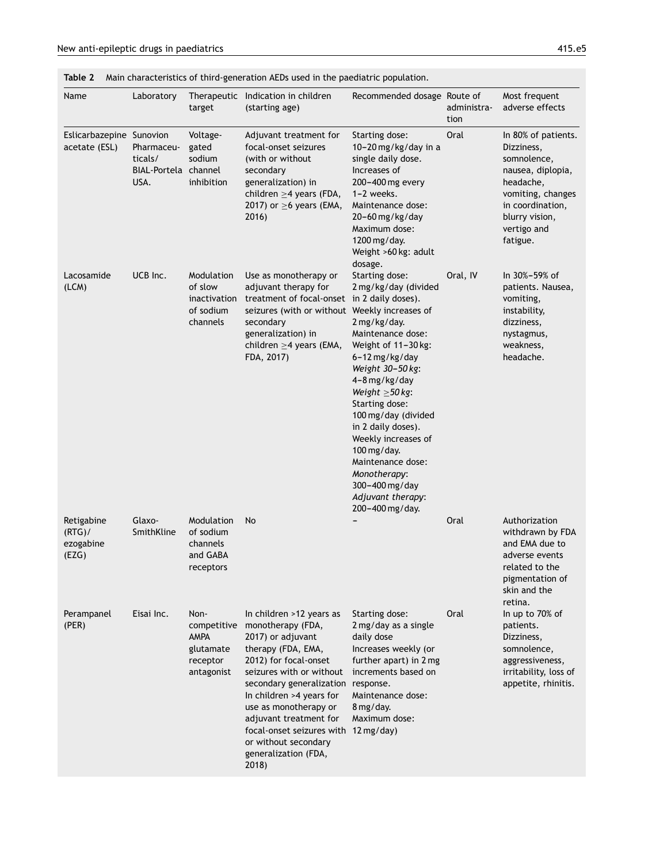<span id="page-4-0"></span>**Table 2** Main characteristics of third-generation AEDs used in the paediatric population.

| Name                                          | Laboratory                                            | target                                                                    | Therapeutic Indication in children<br>(starting age)                                                                                                                                                                                                                                                                                                                | Recommended dosage Route of                                                                                                                                                                                                                                                                                                                                                           | administra-<br>tion | Most frequent<br>adverse effects                                                                                                                                         |
|-----------------------------------------------|-------------------------------------------------------|---------------------------------------------------------------------------|---------------------------------------------------------------------------------------------------------------------------------------------------------------------------------------------------------------------------------------------------------------------------------------------------------------------------------------------------------------------|---------------------------------------------------------------------------------------------------------------------------------------------------------------------------------------------------------------------------------------------------------------------------------------------------------------------------------------------------------------------------------------|---------------------|--------------------------------------------------------------------------------------------------------------------------------------------------------------------------|
| Eslicarbazepine Sunovion<br>acetate (ESL)     | Pharmaceu-<br>ticals/<br>BIAL-Portela channel<br>USA. | Voltage-<br>gated<br>sodium<br>inhibition                                 | Adjuvant treatment for<br>focal-onset seizures<br>(with or without<br>secondary<br>generalization) in<br>children $\geq$ 4 years (FDA,<br>2017) or $\geq$ 6 years (EMA,<br>2016)                                                                                                                                                                                    | Starting dose:<br>10-20 mg/kg/day in a<br>single daily dose.<br>Increases of<br>200-400 mg every<br>$1-2$ weeks.<br>Maintenance dose:<br>$20-60$ mg/kg/day<br>Maximum dose:<br>1200 mg/day.<br>Weight >60 kg: adult<br>dosage.                                                                                                                                                        | Oral                | In 80% of patients.<br>Dizziness,<br>somnolence,<br>nausea, diplopia,<br>headache,<br>vomiting, changes<br>in coordination,<br>blurry vision,<br>vertigo and<br>fatigue. |
| Lacosamide<br>(LCM)                           | UCB Inc.                                              | Modulation<br>of slow<br>inactivation<br>of sodium<br>channels            | Use as monotherapy or<br>adjuvant therapy for<br>treatment of focal-onset in 2 daily doses).<br>seizures (with or without Weekly increases of<br>secondary<br>generalization) in<br>children $\geq$ 4 years (EMA,<br>FDA, 2017)                                                                                                                                     | Starting dose:<br>2 mg/kg/day (divided<br>2 mg/kg/day.<br>Maintenance dose:<br>Weight of 11-30 kg:<br>6-12 mg/kg/day<br>Weight 30-50 kg:<br>4-8 mg/kg/day<br>Weight $\geq$ 50 kg:<br>Starting dose:<br>100 mg/day (divided<br>in 2 daily doses).<br>Weekly increases of<br>100 mg/day.<br>Maintenance dose:<br>Monotherapy:<br>300-400 mg/day<br>Adjuvant therapy:<br>200-400 mg/day. | Oral, IV            | In 30%-59% of<br>patients. Nausea,<br>vomiting,<br>instability,<br>dizziness,<br>nystagmus,<br>weakness,<br>headache.                                                    |
| Retigabine<br>$(RTG)$ /<br>ezogabine<br>(EZG) | Glaxo-<br>SmithKline                                  | Modulation<br>of sodium<br>channels<br>and GABA<br>receptors              | No                                                                                                                                                                                                                                                                                                                                                                  |                                                                                                                                                                                                                                                                                                                                                                                       | Oral                | Authorization<br>withdrawn by FDA<br>and EMA due to<br>adverse events<br>related to the<br>pigmentation of<br>skin and the<br>retina.                                    |
| Perampanel<br>(PER)                           | Eisai Inc.                                            | Non-<br>competitive<br><b>AMPA</b><br>glutamate<br>receptor<br>antagonist | In children >12 years as<br>monotherapy (FDA,<br>2017) or adjuvant<br>therapy (FDA, EMA,<br>2012) for focal-onset<br>seizures with or without<br>secondary generalization response.<br>In children >4 years for<br>use as monotherapy or<br>adjuvant treatment for<br>focal-onset seizures with 12 mg/day)<br>or without secondary<br>generalization (FDA,<br>2018) | Starting dose:<br>2 mg/day as a single<br>daily dose<br>Increases weekly (or<br>further apart) in 2 mg<br>increments based on<br>Maintenance dose:<br>8 mg/day.<br>Maximum dose:                                                                                                                                                                                                      | Oral                | In up to 70% of<br>patients.<br>Dizziness,<br>somnolence,<br>aggressiveness,<br>irritability, loss of<br>appetite, rhinitis.                                             |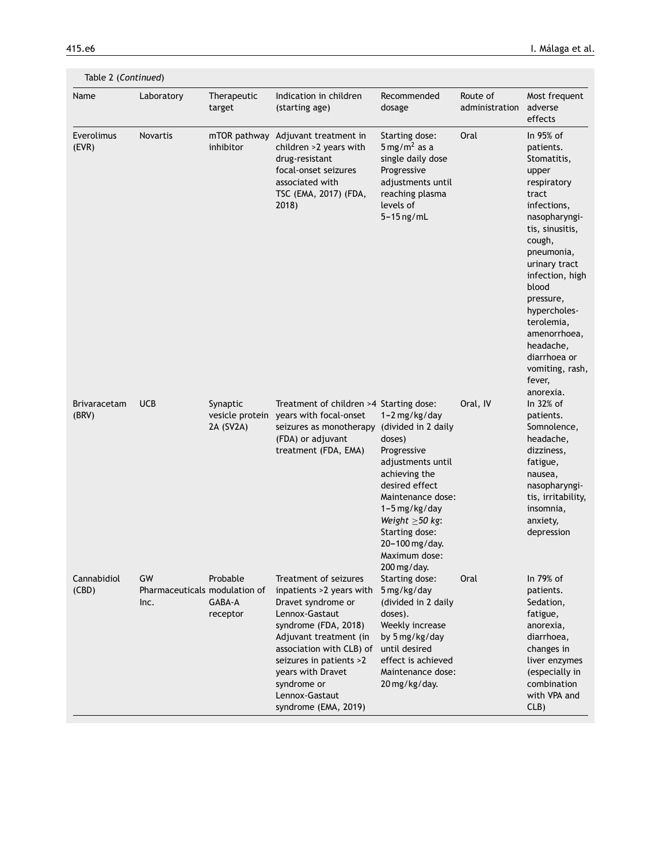| Table 2 (Continued)          |                                             |                                          |                                                                                                                                                                                                                                                                                  |                                                                                                                                                                                                                                    |                            |                                                                                                                                                                                                                                                                                                                                  |
|------------------------------|---------------------------------------------|------------------------------------------|----------------------------------------------------------------------------------------------------------------------------------------------------------------------------------------------------------------------------------------------------------------------------------|------------------------------------------------------------------------------------------------------------------------------------------------------------------------------------------------------------------------------------|----------------------------|----------------------------------------------------------------------------------------------------------------------------------------------------------------------------------------------------------------------------------------------------------------------------------------------------------------------------------|
| Name                         | Laboratory                                  | Therapeutic<br>target                    | Indication in children<br>(starting age)                                                                                                                                                                                                                                         | Recommended<br>dosage                                                                                                                                                                                                              | Route of<br>administration | Most frequent<br>adverse<br>effects                                                                                                                                                                                                                                                                                              |
| Everolimus<br>(EVR)          | Novartis                                    | mTOR pathway<br>inhibitor                | Adjuvant treatment in<br>children >2 years with<br>drug-resistant<br>focal-onset seizures<br>associated with<br>TSC (EMA, 2017) (FDA,<br>2018                                                                                                                                    | Starting dose:<br>$5 \,\mathrm{mg/m^2}$ as a<br>single daily dose<br>Progressive<br>adjustments until<br>reaching plasma<br>levels of<br>$5-15$ ng/mL                                                                              | Oral                       | In 95% of<br>patients.<br>Stomatitis,<br>upper<br>respiratory<br>tract<br>infections,<br>nasopharyngi-<br>tis, sinusitis,<br>cough,<br>pneumonia,<br>urinary tract<br>infection, high<br>blood<br>pressure,<br>hypercholes-<br>terolemia,<br>amenorrhoea,<br>headache,<br>diarrhoea or<br>vomiting, rash,<br>fever,<br>anorexia. |
| <b>Brivaracetam</b><br>(BRV) | <b>UCB</b>                                  | Synaptic<br>vesicle protein<br>2A (SV2A) | Treatment of children >4 Starting dose:<br>years with focal-onset<br>seizures as monotherapy (divided in 2 daily<br>(FDA) or adjuvant<br>treatment (FDA, EMA)                                                                                                                    | 1-2 mg/kg/day<br>doses)<br>Progressive<br>adjustments until<br>achieving the<br>desired effect<br>Maintenance dose:<br>$1-5$ mg/kg/day<br>Weight $\geq$ 50 kg:<br>Starting dose:<br>20-100 mg/day.<br>Maximum dose:<br>200 mg/day. | Oral, IV                   | In 32% of<br>patients.<br>Somnolence,<br>headache,<br>dizziness,<br>fatigue,<br>nausea,<br>nasopharyngi-<br>tis, irritability,<br>insomnia,<br>anxiety,<br>depression                                                                                                                                                            |
| Cannabidiol<br>(CBD)         | GW<br>Pharmaceuticals modulation of<br>Inc. | Probable<br>GABA-A<br>receptor           | Treatment of seizures<br>inpatients >2 years with<br>Dravet syndrome or<br>Lennox-Gastaut<br>syndrome (FDA, 2018)<br>Adjuvant treatment (in<br>association with CLB) of<br>seizures in patients >2<br>years with Dravet<br>syndrome or<br>Lennox-Gastaut<br>syndrome (EMA, 2019) | Starting dose:<br>5 mg/kg/day<br>(divided in 2 daily<br>doses).<br>Weekly increase<br>by 5 mg/kg/day<br>until desired<br>effect is achieved<br>Maintenance dose:<br>20 mg/kg/day.                                                  | Oral                       | In 79% of<br>patients.<br>Sedation,<br>fatigue,<br>anorexia,<br>diarrhoea,<br>changes in<br>liver enzymes<br>(especially in<br>combination<br>with VPA and<br>CLB)                                                                                                                                                               |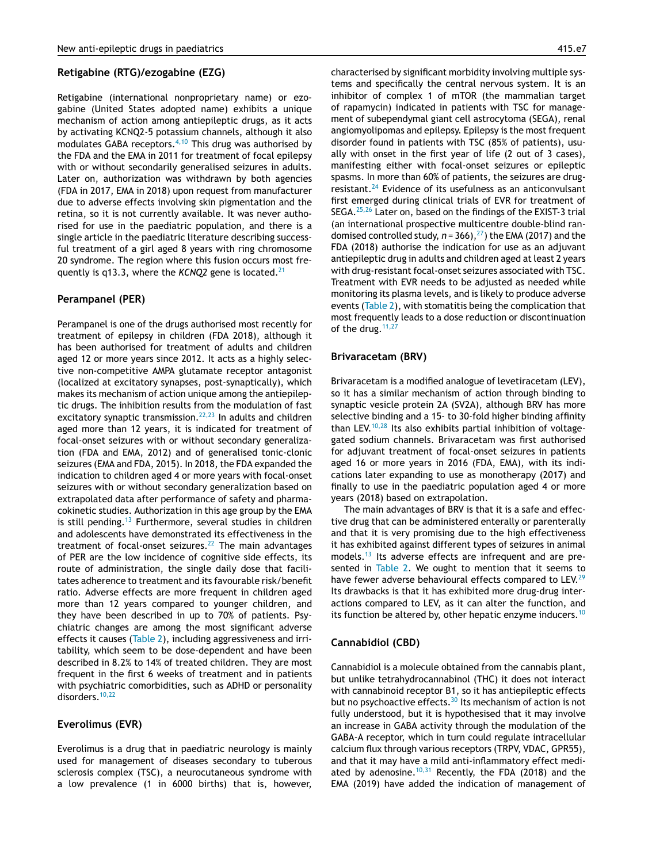### **Retigabine (RTG)/ezogabine (EZG)**

Retigabine (international nonproprietary name) or ezogabine (United States adopted name) exhibits a unique mechanism of action among antiepileptic drugs, as it acts by activating KCNQ2-5 potassium channels, although it also modulates GABA receptors. $4,10$  This drug was authorised by the FDA and the EMA in 2011 for treatment of focal epilepsy with or without secondarily generalised seizures in adults. Later on, authorization was withdrawn by both agencies (FDA in 2017, EMA in 2018) upon request from manufacturer due to adverse effects involving skin pigmentation and the retina, so it is not currently available. It was never authorised for use in the paediatric population, and there is a single article in the paediatric literature describing successful treatment of a girl aged 8 years with ring chromosome 20 syndrome. The region where this fusion occurs most frequently is q13.3, where the *KCNQ2* gene is located.<sup>[21](#page-8-0)</sup>

# **Perampanel (PER)**

Perampanel is one of the drugs authorised most recently for treatment of epilepsy in children (FDA 2018), although it has been authorised for treatment of adults and children aged 12 or more years since 2012. It acts as a highly selective non-competitive AMPA glutamate receptor antagonist (localized at excitatory synapses, post-synaptically), which makes its mechanism of action unique among the antiepileptic drugs. The inhibition results from the modulation of fast excitatory synaptic transmission. $22,23$  In adults and children aged more than 12 years, it is indicated for treatment of focal-onset seizures with or without secondary generalization (FDA and EMA, 2012) and of generalised tonic-clonic seizures (EMA and FDA, 2015). In 2018, the FDA expanded the indication to children aged 4 or more years with focal-onset seizures with or without secondary generalization based on extrapolated data after performance of safety and pharmacokinetic studies. Authorization in this age group by the EMA is still pending.<sup>[13](#page-8-0)</sup> Furthermore, several studies in children and adolescents have demonstrated its effectiveness in the treatment of focal-onset seizures. $^{22}$  $^{22}$  $^{22}$  The main advantages of PER are the low incidence of cognitive side effects, its route of administration, the single daily dose that facilitates adherence to treatment and its favourable risk/benefit ratio. Adverse effects are more frequent in children aged more than 12 years compared to younger children, and they have been described in up to 70% of patients. Psychiatric changes are among the most significant adverse effects it causes ([Table](#page-4-0) 2), including aggressiveness and irritability, which seem to be dose-dependent and have been described in 8.2% to 14% of treated children. They are most frequent in the first 6 weeks of treatment and in patients with psychiatric comorbidities, such as ADHD or personality disorders.<sup>[10,22](#page-8-0)</sup>

## **Everolimus (EVR)**

Everolimus is a drug that in paediatric neurology is mainly used for management of diseases secondary to tuberous sclerosis complex (TSC), a neurocutaneous syndrome with a low prevalence (1 in 6000 births) that is, however,

characterised by significant morbidity involving multiple systems and specifically the central nervous system. It is an inhibitor of complex 1 of mTOR (the mammalian target of rapamycin) indicated in patients with TSC for management of subependymal giant cell astrocytoma (SEGA), renal angiomyolipomas and epilepsy. Epilepsy is the most frequent disorder found in patients with TSC (85% of patients), usually with onset in the first year of life (2 out of 3 cases), manifesting either with focal-onset seizures or epileptic spasms. In more than 60% of patients, the seizures are drug-resistant.<sup>[24](#page-8-0)</sup> Evidence of its usefulness as an anticonvulsant first emerged during clinical trials of EVR for treatment of SEGA.[25,26](#page-8-0) Later on, based on the findings of the EXIST-3 trial (an international prospective multicentre double-blind randomised controlled study,  $n = 366$ ,  $27$ ) the EMA (2017) and the FDA (2018) authorise the indication for use as an adjuvant antiepileptic drug in adults and children aged at least 2 years with drug-resistant focal-onset seizures associated with TSC. Treatment with EVR needs to be adjusted as needed while monitoring its plasma levels, and is likely to produce adverse events ([Table](#page-4-0) 2), with stomatitis being the complication that most frequently leads to a dose reduction or discontinuation of the drug.  $11,27$ 

#### **Brivaracetam (BRV)**

Brivaracetam is a modified analogue of levetiracetam (LEV), so it has a similar mechanism of action through binding to synaptic vesicle protein 2A (SV2A), although BRV has more selective binding and a 15- to 30-fold higher binding affinity than LEV. $10,28$  Its also exhibits partial inhibition of voltagegated sodium channels. Brivaracetam was first authorised for adjuvant treatment of focal-onset seizures in patients aged 16 or more years in 2016 (FDA, EMA), with its indications later expanding to use as monotherapy (2017) and finally to use in the paediatric population aged 4 or more years (2018) based on extrapolation.

The main advantages of BRV is that it is a safe and effective drug that can be administered enterally or parenterally and that it is very promising due to the high effectiveness it has exhibited against different types of seizures in animal models.<sup>[13](#page-8-0)</sup> Its adverse effects are infrequent and are presented in [Table](#page-4-0) 2. We ought to mention that it seems to have fewer adverse behavioural effects compared to LEV.<sup>[29](#page-9-0)</sup> Its drawbacks is that it has exhibited more drug-drug interactions compared to LEV, as it can alter the function, and its function be altered by, other hepatic enzyme inducers.<sup>[10](#page-8-0)</sup>

## **Cannabidiol (CBD)**

Cannabidiol is a molecule obtained from the cannabis plant, but unlike tetrahydrocannabinol (THC) it does not interact with cannabinoid receptor B1, so it has antiepileptic effects but no psychoactive effects. $30$  Its mechanism of action is not fully understood, but it is hypothesised that it may involve an increase in GABA activity through the modulation of the GABA-A receptor, which in turn could regulate intracellular calcium flux through various receptors (TRPV, VDAC, GPR55), and that it may have a mild anti-inflammatory effect medi-ated by adenosine.<sup>[10,31](#page-8-0)</sup> Recently, the FDA (2018) and the EMA (2019) have added the indication of management of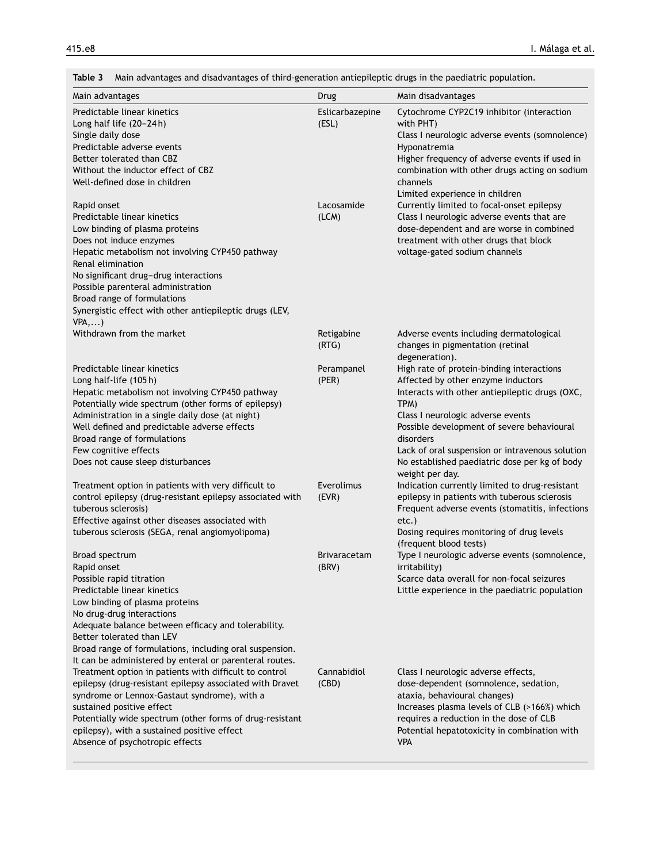<span id="page-7-0"></span>

| Main advantages and disadvantages of third-generation antiepileptic drugs in the paediatric population.<br>Table 3                                                                                                                                                                                                                                                                                                                                                  |                          |                                                                                                                                                                                                                                                                                                                                                                  |
|---------------------------------------------------------------------------------------------------------------------------------------------------------------------------------------------------------------------------------------------------------------------------------------------------------------------------------------------------------------------------------------------------------------------------------------------------------------------|--------------------------|------------------------------------------------------------------------------------------------------------------------------------------------------------------------------------------------------------------------------------------------------------------------------------------------------------------------------------------------------------------|
| Main advantages                                                                                                                                                                                                                                                                                                                                                                                                                                                     | Drug                     | Main disadvantages                                                                                                                                                                                                                                                                                                                                               |
| Predictable linear kinetics<br>Long half life (20-24h)<br>Single daily dose<br>Predictable adverse events<br>Better tolerated than CBZ<br>Without the inductor effect of CBZ<br>Well-defined dose in children                                                                                                                                                                                                                                                       | Eslicarbazepine<br>(ESL) | Cytochrome CYP2C19 inhibitor (interaction<br>with PHT)<br>Class I neurologic adverse events (somnolence)<br>Hyponatremia<br>Higher frequency of adverse events if used in<br>combination with other drugs acting on sodium<br>channels<br>Limited experience in children                                                                                         |
| Rapid onset<br>Predictable linear kinetics<br>Low binding of plasma proteins<br>Does not induce enzymes<br>Hepatic metabolism not involving CYP450 pathway<br>Renal elimination<br>No significant drug-drug interactions<br>Possible parenteral administration<br>Broad range of formulations<br>Synergistic effect with other antiepileptic drugs (LEV,<br>VPA,)                                                                                                   | Lacosamide<br>(LCM)      | Currently limited to focal-onset epilepsy<br>Class I neurologic adverse events that are<br>dose-dependent and are worse in combined<br>treatment with other drugs that block<br>voltage-gated sodium channels                                                                                                                                                    |
| Withdrawn from the market                                                                                                                                                                                                                                                                                                                                                                                                                                           | Retigabine<br>(RTG)      | Adverse events including dermatological<br>changes in pigmentation (retinal<br>degeneration).                                                                                                                                                                                                                                                                    |
| Predictable linear kinetics<br>Long half-life (105h)<br>Hepatic metabolism not involving CYP450 pathway<br>Potentially wide spectrum (other forms of epilepsy)<br>Administration in a single daily dose (at night)<br>Well defined and predictable adverse effects<br>Broad range of formulations<br>Few cognitive effects<br>Does not cause sleep disturbances                                                                                                     | Perampanel<br>(PER)      | High rate of protein-binding interactions<br>Affected by other enzyme inductors<br>Interacts with other antiepileptic drugs (OXC,<br>TPM)<br>Class I neurologic adverse events<br>Possible development of severe behavioural<br>disorders<br>Lack of oral suspension or intravenous solution<br>No established paediatric dose per kg of body<br>weight per day. |
| Treatment option in patients with very difficult to<br>control epilepsy (drug-resistant epilepsy associated with<br>tuberous sclerosis)<br>Effective against other diseases associated with<br>tuberous sclerosis (SEGA, renal angiomyolipoma)                                                                                                                                                                                                                      | Everolimus<br>(EVR)      | Indication currently limited to drug-resistant<br>epilepsy in patients with tuberous sclerosis<br>Frequent adverse events (stomatitis, infections<br>$etc.$ )<br>Dosing requires monitoring of drug levels<br>(frequent blood tests)                                                                                                                             |
| Broad spectrum<br>Rapid onset<br>Possible rapid titration<br>Predictable linear kinetics<br>Low binding of plasma proteins<br>No drug-drug interactions<br>Adequate balance between efficacy and tolerability.<br>Better tolerated than LEV                                                                                                                                                                                                                         | Brivaracetam<br>(BRV)    | Type I neurologic adverse events (somnolence,<br>irritability)<br>Scarce data overall for non-focal seizures<br>Little experience in the paediatric population                                                                                                                                                                                                   |
| Broad range of formulations, including oral suspension.<br>It can be administered by enteral or parenteral routes.<br>Treatment option in patients with difficult to control<br>epilepsy (drug-resistant epilepsy associated with Dravet<br>syndrome or Lennox-Gastaut syndrome), with a<br>sustained positive effect<br>Potentially wide spectrum (other forms of drug-resistant<br>epilepsy), with a sustained positive effect<br>Absence of psychotropic effects | Cannabidiol<br>(CBD)     | Class I neurologic adverse effects,<br>dose-dependent (somnolence, sedation,<br>ataxia, behavioural changes)<br>Increases plasma levels of CLB (>166%) which<br>requires a reduction in the dose of CLB<br>Potential hepatotoxicity in combination with<br><b>VPA</b>                                                                                            |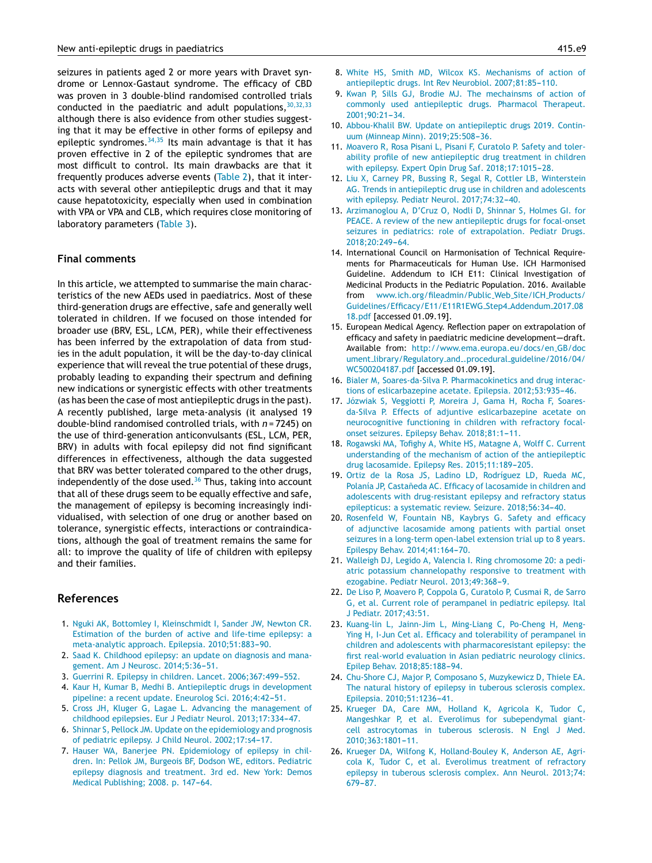<span id="page-8-0"></span>seizures in patients aged 2 or more years with Dravet syndrome or Lennox-Gastaut syndrome. The efficacy of CBD was proven in 3 double-blind randomised controlled trials conducted in the paediatric and adult populations,  $30,32,33$ although there is also evidence from other studies suggesting that it may be effective in other forms of epilepsy and epileptic syndromes.  $34,35$  Its main advantage is that it has proven effective in 2 of the epileptic syndromes that are most difficult to control. Its main drawbacks are that it frequently produces adverse events [\(Table](#page-4-0) 2), that it interacts with several other antiepileptic drugs and that it may cause hepatotoxicity, especially when used in combination with VPA or VPA and CLB, which requires close monitoring of laboratory parameters ([Table](#page-7-0) 3).

### **Final comments**

In this article, we attempted to summarise the main characteristics of the new AEDs used in paediatrics. Most of these third-generation drugs are effective, safe and generally well tolerated in children. If we focused on those intended for broader use (BRV, ESL, LCM, PER), while their effectiveness has been inferred by the extrapolation of data from studies in the adult population, it will be the day-to-day clinical experience that will reveal the true potential of these drugs, probably leading to expanding their spectrum and defining new indications or synergistic effects with other treatments (as has been the case of most antiepileptic drugs in the past). A recently published, large meta-analysis (it analysed 19 double-blind randomised controlled trials, with *n* = 7245) on the use of third-generation anticonvulsants (ESL, LCM, PER, BRV) in adults with focal epilepsy did not find significant differences in effectiveness, although the data suggested that BRV was better tolerated compared to the other drugs, independently of the dose used. $36$  Thus, taking into account that all of these drugs seem to be equally effective and safe, the management of epilepsy is becoming increasingly individualised, with selection of one drug or another based on tolerance, synergistic effects, interactions or contraindications, although the goal of treatment remains the same for all: to improve the quality of life of children with epilepsy and their families.

# **References**

- 1. [Nguki](http://refhub.elsevier.com/S2341-2879(19)30184-X/sbref0185) [AK,](http://refhub.elsevier.com/S2341-2879(19)30184-X/sbref0185) [Bottomley](http://refhub.elsevier.com/S2341-2879(19)30184-X/sbref0185) [I,](http://refhub.elsevier.com/S2341-2879(19)30184-X/sbref0185) [Kleinschmidt](http://refhub.elsevier.com/S2341-2879(19)30184-X/sbref0185) [I,](http://refhub.elsevier.com/S2341-2879(19)30184-X/sbref0185) [Sander](http://refhub.elsevier.com/S2341-2879(19)30184-X/sbref0185) [JW,](http://refhub.elsevier.com/S2341-2879(19)30184-X/sbref0185) [Newton](http://refhub.elsevier.com/S2341-2879(19)30184-X/sbref0185) [CR.](http://refhub.elsevier.com/S2341-2879(19)30184-X/sbref0185) [Estimation](http://refhub.elsevier.com/S2341-2879(19)30184-X/sbref0185) [of](http://refhub.elsevier.com/S2341-2879(19)30184-X/sbref0185) [the](http://refhub.elsevier.com/S2341-2879(19)30184-X/sbref0185) [burden](http://refhub.elsevier.com/S2341-2879(19)30184-X/sbref0185) [of](http://refhub.elsevier.com/S2341-2879(19)30184-X/sbref0185) [active](http://refhub.elsevier.com/S2341-2879(19)30184-X/sbref0185) [and](http://refhub.elsevier.com/S2341-2879(19)30184-X/sbref0185) [life-time](http://refhub.elsevier.com/S2341-2879(19)30184-X/sbref0185) [epilepsy:](http://refhub.elsevier.com/S2341-2879(19)30184-X/sbref0185) [a](http://refhub.elsevier.com/S2341-2879(19)30184-X/sbref0185) [meta-analytic](http://refhub.elsevier.com/S2341-2879(19)30184-X/sbref0185) [approach.](http://refhub.elsevier.com/S2341-2879(19)30184-X/sbref0185) [Epilepsia.](http://refhub.elsevier.com/S2341-2879(19)30184-X/sbref0185) [2010;51:883](http://refhub.elsevier.com/S2341-2879(19)30184-X/sbref0185)-[90.](http://refhub.elsevier.com/S2341-2879(19)30184-X/sbref0185)
- 2. [Saad](http://refhub.elsevier.com/S2341-2879(19)30184-X/sbref0190) [K.](http://refhub.elsevier.com/S2341-2879(19)30184-X/sbref0190) [Childhood](http://refhub.elsevier.com/S2341-2879(19)30184-X/sbref0190) [epilepsy:](http://refhub.elsevier.com/S2341-2879(19)30184-X/sbref0190) [an](http://refhub.elsevier.com/S2341-2879(19)30184-X/sbref0190) [update](http://refhub.elsevier.com/S2341-2879(19)30184-X/sbref0190) [on](http://refhub.elsevier.com/S2341-2879(19)30184-X/sbref0190) [diagnosis](http://refhub.elsevier.com/S2341-2879(19)30184-X/sbref0190) [and](http://refhub.elsevier.com/S2341-2879(19)30184-X/sbref0190) [mana](http://refhub.elsevier.com/S2341-2879(19)30184-X/sbref0190)[gement.](http://refhub.elsevier.com/S2341-2879(19)30184-X/sbref0190) [Am](http://refhub.elsevier.com/S2341-2879(19)30184-X/sbref0190) [J](http://refhub.elsevier.com/S2341-2879(19)30184-X/sbref0190) [Neurosc.](http://refhub.elsevier.com/S2341-2879(19)30184-X/sbref0190) [2014;5:36](http://refhub.elsevier.com/S2341-2879(19)30184-X/sbref0190)-[51.](http://refhub.elsevier.com/S2341-2879(19)30184-X/sbref0190)
- 3. [Guerrini](http://refhub.elsevier.com/S2341-2879(19)30184-X/sbref0195) [R.](http://refhub.elsevier.com/S2341-2879(19)30184-X/sbref0195) [Epilepsy](http://refhub.elsevier.com/S2341-2879(19)30184-X/sbref0195) [in](http://refhub.elsevier.com/S2341-2879(19)30184-X/sbref0195) [children.](http://refhub.elsevier.com/S2341-2879(19)30184-X/sbref0195) [Lancet.](http://refhub.elsevier.com/S2341-2879(19)30184-X/sbref0195) [2006;367:499](http://refhub.elsevier.com/S2341-2879(19)30184-X/sbref0195)-[552.](http://refhub.elsevier.com/S2341-2879(19)30184-X/sbref0195)
- 4. [Kaur](http://refhub.elsevier.com/S2341-2879(19)30184-X/sbref0200) [H,](http://refhub.elsevier.com/S2341-2879(19)30184-X/sbref0200) [Kumar](http://refhub.elsevier.com/S2341-2879(19)30184-X/sbref0200) [B,](http://refhub.elsevier.com/S2341-2879(19)30184-X/sbref0200) [Medhi](http://refhub.elsevier.com/S2341-2879(19)30184-X/sbref0200) [B.](http://refhub.elsevier.com/S2341-2879(19)30184-X/sbref0200) [Antiepileptic](http://refhub.elsevier.com/S2341-2879(19)30184-X/sbref0200) [drugs](http://refhub.elsevier.com/S2341-2879(19)30184-X/sbref0200) [in](http://refhub.elsevier.com/S2341-2879(19)30184-X/sbref0200) [development](http://refhub.elsevier.com/S2341-2879(19)30184-X/sbref0200) [pipeline:](http://refhub.elsevier.com/S2341-2879(19)30184-X/sbref0200) [a](http://refhub.elsevier.com/S2341-2879(19)30184-X/sbref0200) [recent](http://refhub.elsevier.com/S2341-2879(19)30184-X/sbref0200) [update.](http://refhub.elsevier.com/S2341-2879(19)30184-X/sbref0200) [Eneurolog](http://refhub.elsevier.com/S2341-2879(19)30184-X/sbref0200) [Sci.](http://refhub.elsevier.com/S2341-2879(19)30184-X/sbref0200) 2016;4:42-51.
- 5. [Cross](http://refhub.elsevier.com/S2341-2879(19)30184-X/sbref0205) [JH,](http://refhub.elsevier.com/S2341-2879(19)30184-X/sbref0205) [Kluger](http://refhub.elsevier.com/S2341-2879(19)30184-X/sbref0205) [G,](http://refhub.elsevier.com/S2341-2879(19)30184-X/sbref0205) [Lagae](http://refhub.elsevier.com/S2341-2879(19)30184-X/sbref0205) [L.](http://refhub.elsevier.com/S2341-2879(19)30184-X/sbref0205) [Advancing](http://refhub.elsevier.com/S2341-2879(19)30184-X/sbref0205) [the](http://refhub.elsevier.com/S2341-2879(19)30184-X/sbref0205) [management](http://refhub.elsevier.com/S2341-2879(19)30184-X/sbref0205) [of](http://refhub.elsevier.com/S2341-2879(19)30184-X/sbref0205) [childhood](http://refhub.elsevier.com/S2341-2879(19)30184-X/sbref0205) [epilepsies.](http://refhub.elsevier.com/S2341-2879(19)30184-X/sbref0205) [Eur](http://refhub.elsevier.com/S2341-2879(19)30184-X/sbref0205) [J](http://refhub.elsevier.com/S2341-2879(19)30184-X/sbref0205) [Pediatr](http://refhub.elsevier.com/S2341-2879(19)30184-X/sbref0205) [Neurol.](http://refhub.elsevier.com/S2341-2879(19)30184-X/sbref0205) 2013;17:334-47.
- 6. [Shinnar](http://refhub.elsevier.com/S2341-2879(19)30184-X/sbref0210) [S,](http://refhub.elsevier.com/S2341-2879(19)30184-X/sbref0210) [Pellock](http://refhub.elsevier.com/S2341-2879(19)30184-X/sbref0210) [JM.](http://refhub.elsevier.com/S2341-2879(19)30184-X/sbref0210) [Update](http://refhub.elsevier.com/S2341-2879(19)30184-X/sbref0210) [on](http://refhub.elsevier.com/S2341-2879(19)30184-X/sbref0210) [the](http://refhub.elsevier.com/S2341-2879(19)30184-X/sbref0210) [epidemiology](http://refhub.elsevier.com/S2341-2879(19)30184-X/sbref0210) [and](http://refhub.elsevier.com/S2341-2879(19)30184-X/sbref0210) [prognosis](http://refhub.elsevier.com/S2341-2879(19)30184-X/sbref0210) [of](http://refhub.elsevier.com/S2341-2879(19)30184-X/sbref0210) [pediatric](http://refhub.elsevier.com/S2341-2879(19)30184-X/sbref0210) [epilepsy.](http://refhub.elsevier.com/S2341-2879(19)30184-X/sbref0210) [J](http://refhub.elsevier.com/S2341-2879(19)30184-X/sbref0210) [Child](http://refhub.elsevier.com/S2341-2879(19)30184-X/sbref0210) [Neurol.](http://refhub.elsevier.com/S2341-2879(19)30184-X/sbref0210) 2002;17:s4-17.
- 7. [Hauser](http://refhub.elsevier.com/S2341-2879(19)30184-X/sbref0215) [WA,](http://refhub.elsevier.com/S2341-2879(19)30184-X/sbref0215) [Banerjee](http://refhub.elsevier.com/S2341-2879(19)30184-X/sbref0215) [PN.](http://refhub.elsevier.com/S2341-2879(19)30184-X/sbref0215) [Epidemiology](http://refhub.elsevier.com/S2341-2879(19)30184-X/sbref0215) [of](http://refhub.elsevier.com/S2341-2879(19)30184-X/sbref0215) [epilepsy](http://refhub.elsevier.com/S2341-2879(19)30184-X/sbref0215) [in](http://refhub.elsevier.com/S2341-2879(19)30184-X/sbref0215) [chil](http://refhub.elsevier.com/S2341-2879(19)30184-X/sbref0215)[dren.](http://refhub.elsevier.com/S2341-2879(19)30184-X/sbref0215) [In:](http://refhub.elsevier.com/S2341-2879(19)30184-X/sbref0215) [Pellok](http://refhub.elsevier.com/S2341-2879(19)30184-X/sbref0215) [JM,](http://refhub.elsevier.com/S2341-2879(19)30184-X/sbref0215) [Burgeois](http://refhub.elsevier.com/S2341-2879(19)30184-X/sbref0215) [BF,](http://refhub.elsevier.com/S2341-2879(19)30184-X/sbref0215) [Dodson](http://refhub.elsevier.com/S2341-2879(19)30184-X/sbref0215) [WE,](http://refhub.elsevier.com/S2341-2879(19)30184-X/sbref0215) [editors.](http://refhub.elsevier.com/S2341-2879(19)30184-X/sbref0215) [Pediatric](http://refhub.elsevier.com/S2341-2879(19)30184-X/sbref0215) [epilepsy](http://refhub.elsevier.com/S2341-2879(19)30184-X/sbref0215) [diagnosis](http://refhub.elsevier.com/S2341-2879(19)30184-X/sbref0215) [and](http://refhub.elsevier.com/S2341-2879(19)30184-X/sbref0215) [treatment.](http://refhub.elsevier.com/S2341-2879(19)30184-X/sbref0215) [3rd](http://refhub.elsevier.com/S2341-2879(19)30184-X/sbref0215) [ed.](http://refhub.elsevier.com/S2341-2879(19)30184-X/sbref0215) [New](http://refhub.elsevier.com/S2341-2879(19)30184-X/sbref0215) [York:](http://refhub.elsevier.com/S2341-2879(19)30184-X/sbref0215) [Demos](http://refhub.elsevier.com/S2341-2879(19)30184-X/sbref0215) [Medical](http://refhub.elsevier.com/S2341-2879(19)30184-X/sbref0215) [Publishing;](http://refhub.elsevier.com/S2341-2879(19)30184-X/sbref0215) [2008.](http://refhub.elsevier.com/S2341-2879(19)30184-X/sbref0215) [p.](http://refhub.elsevier.com/S2341-2879(19)30184-X/sbref0215) 147-64.
- 8. [White](http://refhub.elsevier.com/S2341-2879(19)30184-X/sbref0220) [HS,](http://refhub.elsevier.com/S2341-2879(19)30184-X/sbref0220) [Smith](http://refhub.elsevier.com/S2341-2879(19)30184-X/sbref0220) [MD,](http://refhub.elsevier.com/S2341-2879(19)30184-X/sbref0220) [Wilcox](http://refhub.elsevier.com/S2341-2879(19)30184-X/sbref0220) [KS.](http://refhub.elsevier.com/S2341-2879(19)30184-X/sbref0220) [Mechanisms](http://refhub.elsevier.com/S2341-2879(19)30184-X/sbref0220) [of](http://refhub.elsevier.com/S2341-2879(19)30184-X/sbref0220) [action](http://refhub.elsevier.com/S2341-2879(19)30184-X/sbref0220) [of](http://refhub.elsevier.com/S2341-2879(19)30184-X/sbref0220) [antiepileptic](http://refhub.elsevier.com/S2341-2879(19)30184-X/sbref0220) [drugs.](http://refhub.elsevier.com/S2341-2879(19)30184-X/sbref0220) [Int](http://refhub.elsevier.com/S2341-2879(19)30184-X/sbref0220) [Rev](http://refhub.elsevier.com/S2341-2879(19)30184-X/sbref0220) [Neurobiol.](http://refhub.elsevier.com/S2341-2879(19)30184-X/sbref0220) 2007:81:85-110.
- 9. [Kwan](http://refhub.elsevier.com/S2341-2879(19)30184-X/sbref0225) [P,](http://refhub.elsevier.com/S2341-2879(19)30184-X/sbref0225) [Sills](http://refhub.elsevier.com/S2341-2879(19)30184-X/sbref0225) [GJ,](http://refhub.elsevier.com/S2341-2879(19)30184-X/sbref0225) [Brodie](http://refhub.elsevier.com/S2341-2879(19)30184-X/sbref0225) [MJ.](http://refhub.elsevier.com/S2341-2879(19)30184-X/sbref0225) [The](http://refhub.elsevier.com/S2341-2879(19)30184-X/sbref0225) [mechainsms](http://refhub.elsevier.com/S2341-2879(19)30184-X/sbref0225) [of](http://refhub.elsevier.com/S2341-2879(19)30184-X/sbref0225) [action](http://refhub.elsevier.com/S2341-2879(19)30184-X/sbref0225) [of](http://refhub.elsevier.com/S2341-2879(19)30184-X/sbref0225) [commonly](http://refhub.elsevier.com/S2341-2879(19)30184-X/sbref0225) [used](http://refhub.elsevier.com/S2341-2879(19)30184-X/sbref0225) [antiepileptic](http://refhub.elsevier.com/S2341-2879(19)30184-X/sbref0225) [drugs.](http://refhub.elsevier.com/S2341-2879(19)30184-X/sbref0225) [Pharmacol](http://refhub.elsevier.com/S2341-2879(19)30184-X/sbref0225) [Therapeut.](http://refhub.elsevier.com/S2341-2879(19)30184-X/sbref0225) 2001;90:21-34.
- 10. [Abbou-Khalil](http://refhub.elsevier.com/S2341-2879(19)30184-X/sbref0230) [BW.](http://refhub.elsevier.com/S2341-2879(19)30184-X/sbref0230) [Update](http://refhub.elsevier.com/S2341-2879(19)30184-X/sbref0230) [on](http://refhub.elsevier.com/S2341-2879(19)30184-X/sbref0230) [antiepileptic](http://refhub.elsevier.com/S2341-2879(19)30184-X/sbref0230) [drugs](http://refhub.elsevier.com/S2341-2879(19)30184-X/sbref0230) [2019.](http://refhub.elsevier.com/S2341-2879(19)30184-X/sbref0230) [Contin](http://refhub.elsevier.com/S2341-2879(19)30184-X/sbref0230)[uum](http://refhub.elsevier.com/S2341-2879(19)30184-X/sbref0230) [\(Minneap](http://refhub.elsevier.com/S2341-2879(19)30184-X/sbref0230) [Minn\).](http://refhub.elsevier.com/S2341-2879(19)30184-X/sbref0230) 2019;25:508-36.
- 11. [Moavero](http://refhub.elsevier.com/S2341-2879(19)30184-X/sbref0235) [R,](http://refhub.elsevier.com/S2341-2879(19)30184-X/sbref0235) [Rosa](http://refhub.elsevier.com/S2341-2879(19)30184-X/sbref0235) [Pisani](http://refhub.elsevier.com/S2341-2879(19)30184-X/sbref0235) [L,](http://refhub.elsevier.com/S2341-2879(19)30184-X/sbref0235) [Pisani](http://refhub.elsevier.com/S2341-2879(19)30184-X/sbref0235) [F,](http://refhub.elsevier.com/S2341-2879(19)30184-X/sbref0235) [Curatolo](http://refhub.elsevier.com/S2341-2879(19)30184-X/sbref0235) [P.](http://refhub.elsevier.com/S2341-2879(19)30184-X/sbref0235) [Safety](http://refhub.elsevier.com/S2341-2879(19)30184-X/sbref0235) [and](http://refhub.elsevier.com/S2341-2879(19)30184-X/sbref0235) [toler](http://refhub.elsevier.com/S2341-2879(19)30184-X/sbref0235)[ability](http://refhub.elsevier.com/S2341-2879(19)30184-X/sbref0235) [profile](http://refhub.elsevier.com/S2341-2879(19)30184-X/sbref0235) [of](http://refhub.elsevier.com/S2341-2879(19)30184-X/sbref0235) [new](http://refhub.elsevier.com/S2341-2879(19)30184-X/sbref0235) [antiepileptic](http://refhub.elsevier.com/S2341-2879(19)30184-X/sbref0235) [drug](http://refhub.elsevier.com/S2341-2879(19)30184-X/sbref0235) [treatment](http://refhub.elsevier.com/S2341-2879(19)30184-X/sbref0235) [in](http://refhub.elsevier.com/S2341-2879(19)30184-X/sbref0235) [children](http://refhub.elsevier.com/S2341-2879(19)30184-X/sbref0235) [with](http://refhub.elsevier.com/S2341-2879(19)30184-X/sbref0235) [epilepsy.](http://refhub.elsevier.com/S2341-2879(19)30184-X/sbref0235) [Expert](http://refhub.elsevier.com/S2341-2879(19)30184-X/sbref0235) [Opin](http://refhub.elsevier.com/S2341-2879(19)30184-X/sbref0235) [Drug](http://refhub.elsevier.com/S2341-2879(19)30184-X/sbref0235) [Saf.](http://refhub.elsevier.com/S2341-2879(19)30184-X/sbref0235) 2018;17:1015-28.
- 12. [Liu](http://refhub.elsevier.com/S2341-2879(19)30184-X/sbref0240) [X,](http://refhub.elsevier.com/S2341-2879(19)30184-X/sbref0240) [Carney](http://refhub.elsevier.com/S2341-2879(19)30184-X/sbref0240) [PR,](http://refhub.elsevier.com/S2341-2879(19)30184-X/sbref0240) [Bussing](http://refhub.elsevier.com/S2341-2879(19)30184-X/sbref0240) [R,](http://refhub.elsevier.com/S2341-2879(19)30184-X/sbref0240) [Segal](http://refhub.elsevier.com/S2341-2879(19)30184-X/sbref0240) [R,](http://refhub.elsevier.com/S2341-2879(19)30184-X/sbref0240) [Cottler](http://refhub.elsevier.com/S2341-2879(19)30184-X/sbref0240) [LB,](http://refhub.elsevier.com/S2341-2879(19)30184-X/sbref0240) [Winterstein](http://refhub.elsevier.com/S2341-2879(19)30184-X/sbref0240) [AG.](http://refhub.elsevier.com/S2341-2879(19)30184-X/sbref0240) [Trends](http://refhub.elsevier.com/S2341-2879(19)30184-X/sbref0240) [in](http://refhub.elsevier.com/S2341-2879(19)30184-X/sbref0240) [antiepileptic](http://refhub.elsevier.com/S2341-2879(19)30184-X/sbref0240) [drug](http://refhub.elsevier.com/S2341-2879(19)30184-X/sbref0240) [use](http://refhub.elsevier.com/S2341-2879(19)30184-X/sbref0240) [in](http://refhub.elsevier.com/S2341-2879(19)30184-X/sbref0240) [children](http://refhub.elsevier.com/S2341-2879(19)30184-X/sbref0240) [and](http://refhub.elsevier.com/S2341-2879(19)30184-X/sbref0240) [adolescents](http://refhub.elsevier.com/S2341-2879(19)30184-X/sbref0240) [with](http://refhub.elsevier.com/S2341-2879(19)30184-X/sbref0240) [epilepsy.](http://refhub.elsevier.com/S2341-2879(19)30184-X/sbref0240) [Pediatr](http://refhub.elsevier.com/S2341-2879(19)30184-X/sbref0240) [Neurol.](http://refhub.elsevier.com/S2341-2879(19)30184-X/sbref0240) [2017;74:32](http://refhub.elsevier.com/S2341-2879(19)30184-X/sbref0240)-[40.](http://refhub.elsevier.com/S2341-2879(19)30184-X/sbref0240)
- 13. [Arzimanoglou](http://refhub.elsevier.com/S2341-2879(19)30184-X/sbref0245) [A,](http://refhub.elsevier.com/S2341-2879(19)30184-X/sbref0245) [D'Cruz](http://refhub.elsevier.com/S2341-2879(19)30184-X/sbref0245) [O,](http://refhub.elsevier.com/S2341-2879(19)30184-X/sbref0245) [Nodli](http://refhub.elsevier.com/S2341-2879(19)30184-X/sbref0245) [D,](http://refhub.elsevier.com/S2341-2879(19)30184-X/sbref0245) [Shinnar](http://refhub.elsevier.com/S2341-2879(19)30184-X/sbref0245) [S,](http://refhub.elsevier.com/S2341-2879(19)30184-X/sbref0245) [Holmes](http://refhub.elsevier.com/S2341-2879(19)30184-X/sbref0245) [GI.](http://refhub.elsevier.com/S2341-2879(19)30184-X/sbref0245) [for](http://refhub.elsevier.com/S2341-2879(19)30184-X/sbref0245) [PEACE.](http://refhub.elsevier.com/S2341-2879(19)30184-X/sbref0245) [A](http://refhub.elsevier.com/S2341-2879(19)30184-X/sbref0245) [review](http://refhub.elsevier.com/S2341-2879(19)30184-X/sbref0245) [of](http://refhub.elsevier.com/S2341-2879(19)30184-X/sbref0245) [the](http://refhub.elsevier.com/S2341-2879(19)30184-X/sbref0245) [new](http://refhub.elsevier.com/S2341-2879(19)30184-X/sbref0245) [antiepileptic](http://refhub.elsevier.com/S2341-2879(19)30184-X/sbref0245) [drugs](http://refhub.elsevier.com/S2341-2879(19)30184-X/sbref0245) [for](http://refhub.elsevier.com/S2341-2879(19)30184-X/sbref0245) [focal-onset](http://refhub.elsevier.com/S2341-2879(19)30184-X/sbref0245) [seizures](http://refhub.elsevier.com/S2341-2879(19)30184-X/sbref0245) [in](http://refhub.elsevier.com/S2341-2879(19)30184-X/sbref0245) [pediatrics:](http://refhub.elsevier.com/S2341-2879(19)30184-X/sbref0245) [role](http://refhub.elsevier.com/S2341-2879(19)30184-X/sbref0245) [of](http://refhub.elsevier.com/S2341-2879(19)30184-X/sbref0245) [extrapolation.](http://refhub.elsevier.com/S2341-2879(19)30184-X/sbref0245) [Pediatr](http://refhub.elsevier.com/S2341-2879(19)30184-X/sbref0245) [Drugs.](http://refhub.elsevier.com/S2341-2879(19)30184-X/sbref0245) [2018;20:249](http://refhub.elsevier.com/S2341-2879(19)30184-X/sbref0245)[-64.](http://refhub.elsevier.com/S2341-2879(19)30184-X/sbref0245)
- 14. International Council on Harmonisation of Technical Requirements for Pharmaceuticals for Human Use. ICH Harmonised Guideline. Addendum to ICH E11: Clinical Investigation of Medicinal Products in the Pediatric Population. 2016. Available from [www.ich.org/fileadmin/Public](http://www.ich.org/fileadmin/Public_Web_Site/ICH_Products/Guidelines/Efficacy/E11/E11R1EWG_Step4_Addendum_2017_0818.pdf) Web Site/ICH Products/ [Guidelines/Efficacy/E11/E11R1EWG](http://www.ich.org/fileadmin/Public_Web_Site/ICH_Products/Guidelines/Efficacy/E11/E11R1EWG_Step4_Addendum_2017_0818.pdf) Step4 Addendum 2017 08 [18.pdf](http://www.ich.org/fileadmin/Public_Web_Site/ICH_Products/Guidelines/Efficacy/E11/E11R1EWG_Step4_Addendum_2017_0818.pdf) [accessed 01.09.19].
- 15. European Medical Agency. Reflection paper on extrapolation of efficacy and safety in paediatric medicine development-draft. Available from: [http://www.ema.europa.eu/docs/en](http://www.ema.europa.eu/docs/en_GB/document_library/Regulatory_and_.procedural_guideline/2016/04/WC500204187.pdf) GB/doc ument\_library/Regulatory\_and\_.procedural\_[guideline/2016/04/](http://www.ema.europa.eu/docs/en_GB/document_library/Regulatory_and_.procedural_guideline/2016/04/WC500204187.pdf) [WC500204187.pdf](http://www.ema.europa.eu/docs/en_GB/document_library/Regulatory_and_.procedural_guideline/2016/04/WC500204187.pdf) [accessed 01.09.19].
- 16. [Bialer](http://refhub.elsevier.com/S2341-2879(19)30184-X/sbref0260) [M,](http://refhub.elsevier.com/S2341-2879(19)30184-X/sbref0260) [Soares-da-Silva](http://refhub.elsevier.com/S2341-2879(19)30184-X/sbref0260) [P.](http://refhub.elsevier.com/S2341-2879(19)30184-X/sbref0260) [Pharmacokinetics](http://refhub.elsevier.com/S2341-2879(19)30184-X/sbref0260) [and](http://refhub.elsevier.com/S2341-2879(19)30184-X/sbref0260) [drug](http://refhub.elsevier.com/S2341-2879(19)30184-X/sbref0260) [interac](http://refhub.elsevier.com/S2341-2879(19)30184-X/sbref0260)[tions](http://refhub.elsevier.com/S2341-2879(19)30184-X/sbref0260) [of](http://refhub.elsevier.com/S2341-2879(19)30184-X/sbref0260) [eslicarbazepine](http://refhub.elsevier.com/S2341-2879(19)30184-X/sbref0260) [acetate.](http://refhub.elsevier.com/S2341-2879(19)30184-X/sbref0260) [Epilepsia.](http://refhub.elsevier.com/S2341-2879(19)30184-X/sbref0260) 2012;53:935-46.
- 17. [Józwiak](http://refhub.elsevier.com/S2341-2879(19)30184-X/sbref0265) [S,](http://refhub.elsevier.com/S2341-2879(19)30184-X/sbref0265) [Veggiotti](http://refhub.elsevier.com/S2341-2879(19)30184-X/sbref0265) [P,](http://refhub.elsevier.com/S2341-2879(19)30184-X/sbref0265) [Moreira](http://refhub.elsevier.com/S2341-2879(19)30184-X/sbref0265) [J,](http://refhub.elsevier.com/S2341-2879(19)30184-X/sbref0265) [Gama](http://refhub.elsevier.com/S2341-2879(19)30184-X/sbref0265) [H,](http://refhub.elsevier.com/S2341-2879(19)30184-X/sbref0265) [Rocha](http://refhub.elsevier.com/S2341-2879(19)30184-X/sbref0265) [F,](http://refhub.elsevier.com/S2341-2879(19)30184-X/sbref0265) [Soares](http://refhub.elsevier.com/S2341-2879(19)30184-X/sbref0265)[da-Silva](http://refhub.elsevier.com/S2341-2879(19)30184-X/sbref0265) [P.](http://refhub.elsevier.com/S2341-2879(19)30184-X/sbref0265) [Effects](http://refhub.elsevier.com/S2341-2879(19)30184-X/sbref0265) [of](http://refhub.elsevier.com/S2341-2879(19)30184-X/sbref0265) [adjuntive](http://refhub.elsevier.com/S2341-2879(19)30184-X/sbref0265) [eslicarbazepine](http://refhub.elsevier.com/S2341-2879(19)30184-X/sbref0265) [acetate](http://refhub.elsevier.com/S2341-2879(19)30184-X/sbref0265) [on](http://refhub.elsevier.com/S2341-2879(19)30184-X/sbref0265) [neurocognitive](http://refhub.elsevier.com/S2341-2879(19)30184-X/sbref0265) [functioning](http://refhub.elsevier.com/S2341-2879(19)30184-X/sbref0265) [in](http://refhub.elsevier.com/S2341-2879(19)30184-X/sbref0265) [children](http://refhub.elsevier.com/S2341-2879(19)30184-X/sbref0265) [with](http://refhub.elsevier.com/S2341-2879(19)30184-X/sbref0265) [refractory](http://refhub.elsevier.com/S2341-2879(19)30184-X/sbref0265) [focal](http://refhub.elsevier.com/S2341-2879(19)30184-X/sbref0265)[onset](http://refhub.elsevier.com/S2341-2879(19)30184-X/sbref0265) [seizures.](http://refhub.elsevier.com/S2341-2879(19)30184-X/sbref0265) [Epilepsy](http://refhub.elsevier.com/S2341-2879(19)30184-X/sbref0265) [Behav.](http://refhub.elsevier.com/S2341-2879(19)30184-X/sbref0265) 2018;81:1-11.
- 18. [Rogawski](http://refhub.elsevier.com/S2341-2879(19)30184-X/sbref0270) [MA,](http://refhub.elsevier.com/S2341-2879(19)30184-X/sbref0270) [Tofighy](http://refhub.elsevier.com/S2341-2879(19)30184-X/sbref0270) [A,](http://refhub.elsevier.com/S2341-2879(19)30184-X/sbref0270) [White](http://refhub.elsevier.com/S2341-2879(19)30184-X/sbref0270) [HS,](http://refhub.elsevier.com/S2341-2879(19)30184-X/sbref0270) [Matagne](http://refhub.elsevier.com/S2341-2879(19)30184-X/sbref0270) [A,](http://refhub.elsevier.com/S2341-2879(19)30184-X/sbref0270) [Wolff](http://refhub.elsevier.com/S2341-2879(19)30184-X/sbref0270) [C.](http://refhub.elsevier.com/S2341-2879(19)30184-X/sbref0270) [Current](http://refhub.elsevier.com/S2341-2879(19)30184-X/sbref0270) [understanding](http://refhub.elsevier.com/S2341-2879(19)30184-X/sbref0270) [of](http://refhub.elsevier.com/S2341-2879(19)30184-X/sbref0270) [the](http://refhub.elsevier.com/S2341-2879(19)30184-X/sbref0270) [mechanism](http://refhub.elsevier.com/S2341-2879(19)30184-X/sbref0270) [of](http://refhub.elsevier.com/S2341-2879(19)30184-X/sbref0270) [action](http://refhub.elsevier.com/S2341-2879(19)30184-X/sbref0270) [of](http://refhub.elsevier.com/S2341-2879(19)30184-X/sbref0270) [the](http://refhub.elsevier.com/S2341-2879(19)30184-X/sbref0270) [antiepileptic](http://refhub.elsevier.com/S2341-2879(19)30184-X/sbref0270) [drug](http://refhub.elsevier.com/S2341-2879(19)30184-X/sbref0270) [lacosamide.](http://refhub.elsevier.com/S2341-2879(19)30184-X/sbref0270) [Epilepsy](http://refhub.elsevier.com/S2341-2879(19)30184-X/sbref0270) [Res.](http://refhub.elsevier.com/S2341-2879(19)30184-X/sbref0270) 2015;11:189-205.
- 19. [Ortiz](http://refhub.elsevier.com/S2341-2879(19)30184-X/sbref0275) [de](http://refhub.elsevier.com/S2341-2879(19)30184-X/sbref0275) [la](http://refhub.elsevier.com/S2341-2879(19)30184-X/sbref0275) [Rosa](http://refhub.elsevier.com/S2341-2879(19)30184-X/sbref0275) [JS,](http://refhub.elsevier.com/S2341-2879(19)30184-X/sbref0275) [Ladino](http://refhub.elsevier.com/S2341-2879(19)30184-X/sbref0275) [LD,](http://refhub.elsevier.com/S2341-2879(19)30184-X/sbref0275) [Rodríguez](http://refhub.elsevier.com/S2341-2879(19)30184-X/sbref0275) [LD,](http://refhub.elsevier.com/S2341-2879(19)30184-X/sbref0275) [Rueda](http://refhub.elsevier.com/S2341-2879(19)30184-X/sbref0275) [MC,](http://refhub.elsevier.com/S2341-2879(19)30184-X/sbref0275) [Polanía](http://refhub.elsevier.com/S2341-2879(19)30184-X/sbref0275) [JP,](http://refhub.elsevier.com/S2341-2879(19)30184-X/sbref0275) Castañeda [AC.](http://refhub.elsevier.com/S2341-2879(19)30184-X/sbref0275) [Efficacy](http://refhub.elsevier.com/S2341-2879(19)30184-X/sbref0275) [of](http://refhub.elsevier.com/S2341-2879(19)30184-X/sbref0275) [lacosamide](http://refhub.elsevier.com/S2341-2879(19)30184-X/sbref0275) [in](http://refhub.elsevier.com/S2341-2879(19)30184-X/sbref0275) [children](http://refhub.elsevier.com/S2341-2879(19)30184-X/sbref0275) [and](http://refhub.elsevier.com/S2341-2879(19)30184-X/sbref0275) [adolescents](http://refhub.elsevier.com/S2341-2879(19)30184-X/sbref0275) [with](http://refhub.elsevier.com/S2341-2879(19)30184-X/sbref0275) [drug-resistant](http://refhub.elsevier.com/S2341-2879(19)30184-X/sbref0275) [epilepsy](http://refhub.elsevier.com/S2341-2879(19)30184-X/sbref0275) [and](http://refhub.elsevier.com/S2341-2879(19)30184-X/sbref0275) [refractory](http://refhub.elsevier.com/S2341-2879(19)30184-X/sbref0275) [status](http://refhub.elsevier.com/S2341-2879(19)30184-X/sbref0275) [epilepticus:](http://refhub.elsevier.com/S2341-2879(19)30184-X/sbref0275) [a](http://refhub.elsevier.com/S2341-2879(19)30184-X/sbref0275) [systematic](http://refhub.elsevier.com/S2341-2879(19)30184-X/sbref0275) [review.](http://refhub.elsevier.com/S2341-2879(19)30184-X/sbref0275) [Seizure.](http://refhub.elsevier.com/S2341-2879(19)30184-X/sbref0275) [2018;56:34](http://refhub.elsevier.com/S2341-2879(19)30184-X/sbref0275)[-40.](http://refhub.elsevier.com/S2341-2879(19)30184-X/sbref0275)
- 20. [Rosenfeld](http://refhub.elsevier.com/S2341-2879(19)30184-X/sbref0280) [W,](http://refhub.elsevier.com/S2341-2879(19)30184-X/sbref0280) [Fountain](http://refhub.elsevier.com/S2341-2879(19)30184-X/sbref0280) [NB,](http://refhub.elsevier.com/S2341-2879(19)30184-X/sbref0280) [Kaybrys](http://refhub.elsevier.com/S2341-2879(19)30184-X/sbref0280) [G.](http://refhub.elsevier.com/S2341-2879(19)30184-X/sbref0280) [Safety](http://refhub.elsevier.com/S2341-2879(19)30184-X/sbref0280) [and](http://refhub.elsevier.com/S2341-2879(19)30184-X/sbref0280) [efficacy](http://refhub.elsevier.com/S2341-2879(19)30184-X/sbref0280) [of](http://refhub.elsevier.com/S2341-2879(19)30184-X/sbref0280) [adjunctive](http://refhub.elsevier.com/S2341-2879(19)30184-X/sbref0280) [lacosamide](http://refhub.elsevier.com/S2341-2879(19)30184-X/sbref0280) [among](http://refhub.elsevier.com/S2341-2879(19)30184-X/sbref0280) [patients](http://refhub.elsevier.com/S2341-2879(19)30184-X/sbref0280) [with](http://refhub.elsevier.com/S2341-2879(19)30184-X/sbref0280) [partial](http://refhub.elsevier.com/S2341-2879(19)30184-X/sbref0280) [onset](http://refhub.elsevier.com/S2341-2879(19)30184-X/sbref0280) [seizures](http://refhub.elsevier.com/S2341-2879(19)30184-X/sbref0280) [in](http://refhub.elsevier.com/S2341-2879(19)30184-X/sbref0280) [a](http://refhub.elsevier.com/S2341-2879(19)30184-X/sbref0280) [long-term](http://refhub.elsevier.com/S2341-2879(19)30184-X/sbref0280) [open-label](http://refhub.elsevier.com/S2341-2879(19)30184-X/sbref0280) [extension](http://refhub.elsevier.com/S2341-2879(19)30184-X/sbref0280) [trial](http://refhub.elsevier.com/S2341-2879(19)30184-X/sbref0280) [up](http://refhub.elsevier.com/S2341-2879(19)30184-X/sbref0280) [to](http://refhub.elsevier.com/S2341-2879(19)30184-X/sbref0280) [8](http://refhub.elsevier.com/S2341-2879(19)30184-X/sbref0280) [years.](http://refhub.elsevier.com/S2341-2879(19)30184-X/sbref0280) [Epilespy](http://refhub.elsevier.com/S2341-2879(19)30184-X/sbref0280) [Behav.](http://refhub.elsevier.com/S2341-2879(19)30184-X/sbref0280) [2014;41:164](http://refhub.elsevier.com/S2341-2879(19)30184-X/sbref0280)-[70.](http://refhub.elsevier.com/S2341-2879(19)30184-X/sbref0280)
- 21. [Walleigh](http://refhub.elsevier.com/S2341-2879(19)30184-X/sbref0285) [DJ,](http://refhub.elsevier.com/S2341-2879(19)30184-X/sbref0285) [Legido](http://refhub.elsevier.com/S2341-2879(19)30184-X/sbref0285) [A,](http://refhub.elsevier.com/S2341-2879(19)30184-X/sbref0285) [Valencia](http://refhub.elsevier.com/S2341-2879(19)30184-X/sbref0285) [I.](http://refhub.elsevier.com/S2341-2879(19)30184-X/sbref0285) [Ring](http://refhub.elsevier.com/S2341-2879(19)30184-X/sbref0285) [chromosome](http://refhub.elsevier.com/S2341-2879(19)30184-X/sbref0285) [20:](http://refhub.elsevier.com/S2341-2879(19)30184-X/sbref0285) [a](http://refhub.elsevier.com/S2341-2879(19)30184-X/sbref0285) [pedi](http://refhub.elsevier.com/S2341-2879(19)30184-X/sbref0285)[atric](http://refhub.elsevier.com/S2341-2879(19)30184-X/sbref0285) [potassium](http://refhub.elsevier.com/S2341-2879(19)30184-X/sbref0285) [channelopathy](http://refhub.elsevier.com/S2341-2879(19)30184-X/sbref0285) [responsive](http://refhub.elsevier.com/S2341-2879(19)30184-X/sbref0285) [to](http://refhub.elsevier.com/S2341-2879(19)30184-X/sbref0285) [treatment](http://refhub.elsevier.com/S2341-2879(19)30184-X/sbref0285) [with](http://refhub.elsevier.com/S2341-2879(19)30184-X/sbref0285) [ezogabine.](http://refhub.elsevier.com/S2341-2879(19)30184-X/sbref0285) [Pediatr](http://refhub.elsevier.com/S2341-2879(19)30184-X/sbref0285) [Neurol.](http://refhub.elsevier.com/S2341-2879(19)30184-X/sbref0285) 2013;49:368-9.
- 22. [De](http://refhub.elsevier.com/S2341-2879(19)30184-X/sbref0290) [Liso](http://refhub.elsevier.com/S2341-2879(19)30184-X/sbref0290) [P,](http://refhub.elsevier.com/S2341-2879(19)30184-X/sbref0290) [Moavero](http://refhub.elsevier.com/S2341-2879(19)30184-X/sbref0290) [P,](http://refhub.elsevier.com/S2341-2879(19)30184-X/sbref0290) [Coppola](http://refhub.elsevier.com/S2341-2879(19)30184-X/sbref0290) [G,](http://refhub.elsevier.com/S2341-2879(19)30184-X/sbref0290) [Curatolo](http://refhub.elsevier.com/S2341-2879(19)30184-X/sbref0290) [P,](http://refhub.elsevier.com/S2341-2879(19)30184-X/sbref0290) [Cusmai](http://refhub.elsevier.com/S2341-2879(19)30184-X/sbref0290) [R,](http://refhub.elsevier.com/S2341-2879(19)30184-X/sbref0290) [de](http://refhub.elsevier.com/S2341-2879(19)30184-X/sbref0290) [Sarro](http://refhub.elsevier.com/S2341-2879(19)30184-X/sbref0290) [G,](http://refhub.elsevier.com/S2341-2879(19)30184-X/sbref0290) [et](http://refhub.elsevier.com/S2341-2879(19)30184-X/sbref0290) [al.](http://refhub.elsevier.com/S2341-2879(19)30184-X/sbref0290) [Current](http://refhub.elsevier.com/S2341-2879(19)30184-X/sbref0290) [role](http://refhub.elsevier.com/S2341-2879(19)30184-X/sbref0290) [of](http://refhub.elsevier.com/S2341-2879(19)30184-X/sbref0290) [perampanel](http://refhub.elsevier.com/S2341-2879(19)30184-X/sbref0290) [in](http://refhub.elsevier.com/S2341-2879(19)30184-X/sbref0290) [pediatric](http://refhub.elsevier.com/S2341-2879(19)30184-X/sbref0290) [epilepsy.](http://refhub.elsevier.com/S2341-2879(19)30184-X/sbref0290) [Ital](http://refhub.elsevier.com/S2341-2879(19)30184-X/sbref0290) [J](http://refhub.elsevier.com/S2341-2879(19)30184-X/sbref0290) [Pediatr.](http://refhub.elsevier.com/S2341-2879(19)30184-X/sbref0290) [2017;43:51.](http://refhub.elsevier.com/S2341-2879(19)30184-X/sbref0290)
- 23. [Kuang-lin](http://refhub.elsevier.com/S2341-2879(19)30184-X/sbref0295) [L,](http://refhub.elsevier.com/S2341-2879(19)30184-X/sbref0295) [Jainn-Jim](http://refhub.elsevier.com/S2341-2879(19)30184-X/sbref0295) [L,](http://refhub.elsevier.com/S2341-2879(19)30184-X/sbref0295) [Ming-Liang](http://refhub.elsevier.com/S2341-2879(19)30184-X/sbref0295) [C,](http://refhub.elsevier.com/S2341-2879(19)30184-X/sbref0295) [Po-Cheng](http://refhub.elsevier.com/S2341-2879(19)30184-X/sbref0295) [H,](http://refhub.elsevier.com/S2341-2879(19)30184-X/sbref0295) [Meng-](http://refhub.elsevier.com/S2341-2879(19)30184-X/sbref0295)[Ying](http://refhub.elsevier.com/S2341-2879(19)30184-X/sbref0295) [H,](http://refhub.elsevier.com/S2341-2879(19)30184-X/sbref0295) [I-Jun](http://refhub.elsevier.com/S2341-2879(19)30184-X/sbref0295) [Cet](http://refhub.elsevier.com/S2341-2879(19)30184-X/sbref0295) [al.](http://refhub.elsevier.com/S2341-2879(19)30184-X/sbref0295) [Efficacy](http://refhub.elsevier.com/S2341-2879(19)30184-X/sbref0295) [and](http://refhub.elsevier.com/S2341-2879(19)30184-X/sbref0295) [tolerability](http://refhub.elsevier.com/S2341-2879(19)30184-X/sbref0295) [of](http://refhub.elsevier.com/S2341-2879(19)30184-X/sbref0295) [perampanel](http://refhub.elsevier.com/S2341-2879(19)30184-X/sbref0295) [in](http://refhub.elsevier.com/S2341-2879(19)30184-X/sbref0295) [children](http://refhub.elsevier.com/S2341-2879(19)30184-X/sbref0295) [and](http://refhub.elsevier.com/S2341-2879(19)30184-X/sbref0295) [adolescents](http://refhub.elsevier.com/S2341-2879(19)30184-X/sbref0295) [with](http://refhub.elsevier.com/S2341-2879(19)30184-X/sbref0295) [pharmacoresistant](http://refhub.elsevier.com/S2341-2879(19)30184-X/sbref0295) [epilepsy:](http://refhub.elsevier.com/S2341-2879(19)30184-X/sbref0295) [the](http://refhub.elsevier.com/S2341-2879(19)30184-X/sbref0295) [first](http://refhub.elsevier.com/S2341-2879(19)30184-X/sbref0295) [real-world](http://refhub.elsevier.com/S2341-2879(19)30184-X/sbref0295) [evaluation](http://refhub.elsevier.com/S2341-2879(19)30184-X/sbref0295) [in](http://refhub.elsevier.com/S2341-2879(19)30184-X/sbref0295) [Asian](http://refhub.elsevier.com/S2341-2879(19)30184-X/sbref0295) [pediatric](http://refhub.elsevier.com/S2341-2879(19)30184-X/sbref0295) [neurology](http://refhub.elsevier.com/S2341-2879(19)30184-X/sbref0295) [clinics.](http://refhub.elsevier.com/S2341-2879(19)30184-X/sbref0295) [Epilep](http://refhub.elsevier.com/S2341-2879(19)30184-X/sbref0295) [Behav.](http://refhub.elsevier.com/S2341-2879(19)30184-X/sbref0295) 2018;85:188-94.
- 24. [Chu-Shore](http://refhub.elsevier.com/S2341-2879(19)30184-X/sbref0300) [CJ,](http://refhub.elsevier.com/S2341-2879(19)30184-X/sbref0300) [Major](http://refhub.elsevier.com/S2341-2879(19)30184-X/sbref0300) [P,](http://refhub.elsevier.com/S2341-2879(19)30184-X/sbref0300) [Composano](http://refhub.elsevier.com/S2341-2879(19)30184-X/sbref0300) [S,](http://refhub.elsevier.com/S2341-2879(19)30184-X/sbref0300) [Muzykewicz](http://refhub.elsevier.com/S2341-2879(19)30184-X/sbref0300) [D,](http://refhub.elsevier.com/S2341-2879(19)30184-X/sbref0300) [Thiele](http://refhub.elsevier.com/S2341-2879(19)30184-X/sbref0300) [EA.](http://refhub.elsevier.com/S2341-2879(19)30184-X/sbref0300) [The](http://refhub.elsevier.com/S2341-2879(19)30184-X/sbref0300) [natural](http://refhub.elsevier.com/S2341-2879(19)30184-X/sbref0300) [history](http://refhub.elsevier.com/S2341-2879(19)30184-X/sbref0300) [of](http://refhub.elsevier.com/S2341-2879(19)30184-X/sbref0300) [epilepsy](http://refhub.elsevier.com/S2341-2879(19)30184-X/sbref0300) [in](http://refhub.elsevier.com/S2341-2879(19)30184-X/sbref0300) [tuberous](http://refhub.elsevier.com/S2341-2879(19)30184-X/sbref0300) [sclerosis](http://refhub.elsevier.com/S2341-2879(19)30184-X/sbref0300) [complex.](http://refhub.elsevier.com/S2341-2879(19)30184-X/sbref0300) [Epilepsia.](http://refhub.elsevier.com/S2341-2879(19)30184-X/sbref0300) 2010;51:1236-41.
- 25. [Krueger](http://refhub.elsevier.com/S2341-2879(19)30184-X/sbref0305) [DA,](http://refhub.elsevier.com/S2341-2879(19)30184-X/sbref0305) [Care](http://refhub.elsevier.com/S2341-2879(19)30184-X/sbref0305) [MM,](http://refhub.elsevier.com/S2341-2879(19)30184-X/sbref0305) [Holland](http://refhub.elsevier.com/S2341-2879(19)30184-X/sbref0305) [K,](http://refhub.elsevier.com/S2341-2879(19)30184-X/sbref0305) [Agricola](http://refhub.elsevier.com/S2341-2879(19)30184-X/sbref0305) [K,](http://refhub.elsevier.com/S2341-2879(19)30184-X/sbref0305) [Tudor](http://refhub.elsevier.com/S2341-2879(19)30184-X/sbref0305) [C,](http://refhub.elsevier.com/S2341-2879(19)30184-X/sbref0305) [Mangeshkar](http://refhub.elsevier.com/S2341-2879(19)30184-X/sbref0305) [P,](http://refhub.elsevier.com/S2341-2879(19)30184-X/sbref0305) [et](http://refhub.elsevier.com/S2341-2879(19)30184-X/sbref0305) [al.](http://refhub.elsevier.com/S2341-2879(19)30184-X/sbref0305) [Everolimus](http://refhub.elsevier.com/S2341-2879(19)30184-X/sbref0305) [for](http://refhub.elsevier.com/S2341-2879(19)30184-X/sbref0305) [subependymal](http://refhub.elsevier.com/S2341-2879(19)30184-X/sbref0305) [giant](http://refhub.elsevier.com/S2341-2879(19)30184-X/sbref0305)[cell](http://refhub.elsevier.com/S2341-2879(19)30184-X/sbref0305) [astrocytomas](http://refhub.elsevier.com/S2341-2879(19)30184-X/sbref0305) [in](http://refhub.elsevier.com/S2341-2879(19)30184-X/sbref0305) [tuberous](http://refhub.elsevier.com/S2341-2879(19)30184-X/sbref0305) [sclerosis.](http://refhub.elsevier.com/S2341-2879(19)30184-X/sbref0305) [N](http://refhub.elsevier.com/S2341-2879(19)30184-X/sbref0305) [Engl](http://refhub.elsevier.com/S2341-2879(19)30184-X/sbref0305) [J](http://refhub.elsevier.com/S2341-2879(19)30184-X/sbref0305) [Med.](http://refhub.elsevier.com/S2341-2879(19)30184-X/sbref0305) 2010;363:1801-11.
- 26. [Krueger](http://refhub.elsevier.com/S2341-2879(19)30184-X/sbref0310) [DA,](http://refhub.elsevier.com/S2341-2879(19)30184-X/sbref0310) [Wilfong](http://refhub.elsevier.com/S2341-2879(19)30184-X/sbref0310) [K,](http://refhub.elsevier.com/S2341-2879(19)30184-X/sbref0310) [Holland-Bouley](http://refhub.elsevier.com/S2341-2879(19)30184-X/sbref0310) [K,](http://refhub.elsevier.com/S2341-2879(19)30184-X/sbref0310) [Anderson](http://refhub.elsevier.com/S2341-2879(19)30184-X/sbref0310) [AE,](http://refhub.elsevier.com/S2341-2879(19)30184-X/sbref0310) [Agri](http://refhub.elsevier.com/S2341-2879(19)30184-X/sbref0310)[cola](http://refhub.elsevier.com/S2341-2879(19)30184-X/sbref0310) [K,](http://refhub.elsevier.com/S2341-2879(19)30184-X/sbref0310) [Tudor](http://refhub.elsevier.com/S2341-2879(19)30184-X/sbref0310) [C,](http://refhub.elsevier.com/S2341-2879(19)30184-X/sbref0310) [et](http://refhub.elsevier.com/S2341-2879(19)30184-X/sbref0310) [al.](http://refhub.elsevier.com/S2341-2879(19)30184-X/sbref0310) [Everolimus](http://refhub.elsevier.com/S2341-2879(19)30184-X/sbref0310) [treatment](http://refhub.elsevier.com/S2341-2879(19)30184-X/sbref0310) [of](http://refhub.elsevier.com/S2341-2879(19)30184-X/sbref0310) [refractory](http://refhub.elsevier.com/S2341-2879(19)30184-X/sbref0310) [epilepsy](http://refhub.elsevier.com/S2341-2879(19)30184-X/sbref0310) [in](http://refhub.elsevier.com/S2341-2879(19)30184-X/sbref0310) [tuberous](http://refhub.elsevier.com/S2341-2879(19)30184-X/sbref0310) [sclerosis](http://refhub.elsevier.com/S2341-2879(19)30184-X/sbref0310) [complex.](http://refhub.elsevier.com/S2341-2879(19)30184-X/sbref0310) [Ann](http://refhub.elsevier.com/S2341-2879(19)30184-X/sbref0310) [Neurol.](http://refhub.elsevier.com/S2341-2879(19)30184-X/sbref0310) [2013;74:](http://refhub.elsevier.com/S2341-2879(19)30184-X/sbref0310) [679](http://refhub.elsevier.com/S2341-2879(19)30184-X/sbref0310)-[87.](http://refhub.elsevier.com/S2341-2879(19)30184-X/sbref0310)